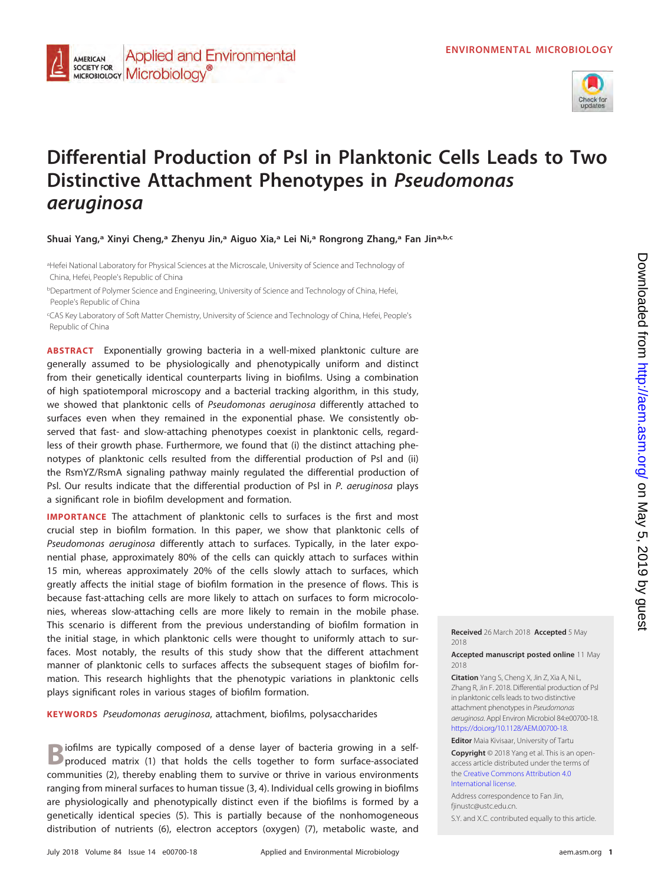

# **Differential Production of Psl in Planktonic Cells Leads to Two Distinctive Attachment Phenotypes in Pseudomonas aeruginosa**

**Shuai Yang,a Xinyi Cheng,a Zhenyu Jin,a Aiguo Xia,a Lei Ni,a Rongrong Zhang,a Fan Jina,b,c**

aHefei National Laboratory for Physical Sciences at the Microscale, University of Science and Technology of China, Hefei, People's Republic of China

**Applied and Environmental** 

AMERICAN **SOCIETY FOR** 

SOCIETY FOR MICrobiology<sup>®</sup>

<sup>b</sup>Department of Polymer Science and Engineering, University of Science and Technology of China, Hefei, People's Republic of China

c CAS Key Laboratory of Soft Matter Chemistry, University of Science and Technology of China, Hefei, People's Republic of China

**ABSTRACT** Exponentially growing bacteria in a well-mixed planktonic culture are generally assumed to be physiologically and phenotypically uniform and distinct from their genetically identical counterparts living in biofilms. Using a combination of high spatiotemporal microscopy and a bacterial tracking algorithm, in this study, we showed that planktonic cells of Pseudomonas aeruginosa differently attached to surfaces even when they remained in the exponential phase. We consistently observed that fast- and slow-attaching phenotypes coexist in planktonic cells, regardless of their growth phase. Furthermore, we found that (i) the distinct attaching phenotypes of planktonic cells resulted from the differential production of Psl and (ii) the RsmYZ/RsmA signaling pathway mainly regulated the differential production of Psl. Our results indicate that the differential production of Psl in P. aeruginosa plays a significant role in biofilm development and formation.

**IMPORTANCE** The attachment of planktonic cells to surfaces is the first and most crucial step in biofilm formation. In this paper, we show that planktonic cells of Pseudomonas aeruginosa differently attach to surfaces. Typically, in the later exponential phase, approximately 80% of the cells can quickly attach to surfaces within 15 min, whereas approximately 20% of the cells slowly attach to surfaces, which greatly affects the initial stage of biofilm formation in the presence of flows. This is because fast-attaching cells are more likely to attach on surfaces to form microcolonies, whereas slow-attaching cells are more likely to remain in the mobile phase. This scenario is different from the previous understanding of biofilm formation in the initial stage, in which planktonic cells were thought to uniformly attach to surfaces. Most notably, the results of this study show that the different attachment manner of planktonic cells to surfaces affects the subsequent stages of biofilm formation. This research highlights that the phenotypic variations in planktonic cells plays significant roles in various stages of biofilm formation.

**KEYWORDS** Pseudomonas aeruginosa, attachment, biofilms, polysaccharides

iofilms are typically composed of a dense layer of bacteria growing in a selfproduced matrix [\(1\)](#page-15-0) that holds the cells together to form surface-associated communities [\(2\)](#page-15-1), thereby enabling them to survive or thrive in various environments ranging from mineral surfaces to human tissue [\(3,](#page-15-2) [4\)](#page-15-3). Individual cells growing in biofilms are physiologically and phenotypically distinct even if the biofilms is formed by a genetically identical species [\(5\)](#page-15-4). This is partially because of the nonhomogeneous distribution of nutrients [\(6\)](#page-15-5), electron acceptors (oxygen) [\(7\)](#page-16-0), metabolic waste, and **Received** 26 March 2018 **Accepted** 5 May 2018

**Accepted manuscript posted online** 11 May 2018

**Citation** Yang S, Cheng X, Jin Z, Xia A, Ni L, Zhang R, Jin F. 2018. Differential production of Psl in planktonic cells leads to two distinctive attachment phenotypes in Pseudomonas aeruginosa. Appl Environ Microbiol 84:e00700-18. [https://doi.org/10.1128/AEM.00700-18.](https://doi.org/10.1128/AEM.00700-18)

**Editor** Maia Kivisaar, University of Tartu

**Copyright** © 2018 Yang et al. This is an openaccess article distributed under the terms of the [Creative Commons Attribution 4.0](https://creativecommons.org/licenses/by/4.0/) [International license.](https://creativecommons.org/licenses/by/4.0/)

Address correspondence to Fan Jin, [fjinustc@ustc.edu.cn.](mailto:fjinustc@ustc.edu.cn)

S.Y. and X.C. contributed equally to this article.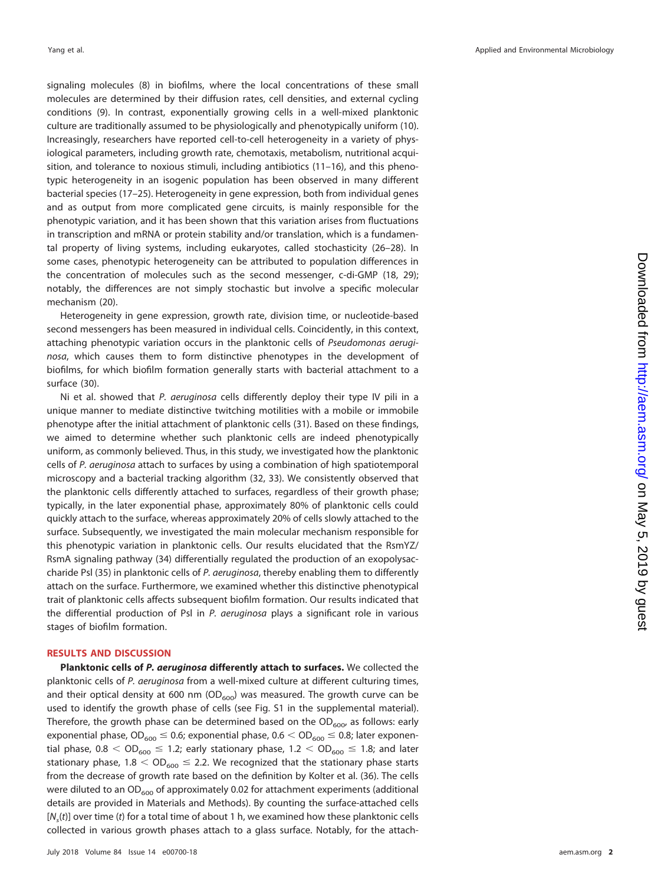signaling molecules [\(8\)](#page-16-1) in biofilms, where the local concentrations of these small molecules are determined by their diffusion rates, cell densities, and external cycling conditions [\(9\)](#page-16-2). In contrast, exponentially growing cells in a well-mixed planktonic culture are traditionally assumed to be physiologically and phenotypically uniform [\(10\)](#page-16-3). Increasingly, researchers have reported cell-to-cell heterogeneity in a variety of physiological parameters, including growth rate, chemotaxis, metabolism, nutritional acquisition, and tolerance to noxious stimuli, including antibiotics [\(11](#page-16-4)[–](#page-16-5)[16\)](#page-16-6), and this phenotypic heterogeneity in an isogenic population has been observed in many different bacterial species [\(17](#page-16-7)[–](#page-16-8)[25\)](#page-16-9). Heterogeneity in gene expression, both from individual genes and as output from more complicated gene circuits, is mainly responsible for the phenotypic variation, and it has been shown that this variation arises from fluctuations in transcription and mRNA or protein stability and/or translation, which is a fundamental property of living systems, including eukaryotes, called stochasticity [\(26](#page-16-10)[–](#page-16-11)[28\)](#page-16-12). In some cases, phenotypic heterogeneity can be attributed to population differences in the concentration of molecules such as the second messenger, c-di-GMP [\(18,](#page-16-13) [29\)](#page-16-14); notably, the differences are not simply stochastic but involve a specific molecular mechanism [\(20\)](#page-16-15).

Heterogeneity in gene expression, growth rate, division time, or nucleotide-based second messengers has been measured in individual cells. Coincidently, in this context, attaching phenotypic variation occurs in the planktonic cells of Pseudomonas aeruginosa, which causes them to form distinctive phenotypes in the development of biofilms, for which biofilm formation generally starts with bacterial attachment to a surface [\(30\)](#page-16-16).

Ni et al. showed that P. aeruginosa cells differently deploy their type IV pili in a unique manner to mediate distinctive twitching motilities with a mobile or immobile phenotype after the initial attachment of planktonic cells [\(31\)](#page-16-17). Based on these findings, we aimed to determine whether such planktonic cells are indeed phenotypically uniform, as commonly believed. Thus, in this study, we investigated how the planktonic cells of P. aeruginosa attach to surfaces by using a combination of high spatiotemporal microscopy and a bacterial tracking algorithm [\(32,](#page-16-18) [33\)](#page-16-19). We consistently observed that the planktonic cells differently attached to surfaces, regardless of their growth phase; typically, in the later exponential phase, approximately 80% of planktonic cells could quickly attach to the surface, whereas approximately 20% of cells slowly attached to the surface. Subsequently, we investigated the main molecular mechanism responsible for this phenotypic variation in planktonic cells. Our results elucidated that the RsmYZ/ RsmA signaling pathway [\(34\)](#page-16-20) differentially regulated the production of an exopolysac-charide Psl [\(35\)](#page-16-21) in planktonic cells of P. aeruginosa, thereby enabling them to differently attach on the surface. Furthermore, we examined whether this distinctive phenotypical trait of planktonic cells affects subsequent biofilm formation. Our results indicated that the differential production of Psl in P. aeruginosa plays a significant role in various stages of biofilm formation.

#### **RESULTS AND DISCUSSION**

**Planktonic cells of** *P. aeruginosa* **differently attach to surfaces.** We collected the planktonic cells of P. aeruginosa from a well-mixed culture at different culturing times, and their optical density at 600 nm  $OD<sub>600</sub>$ ) was measured. The growth curve can be used to identify the growth phase of cells (see Fig. S1 in the supplemental material). Therefore, the growth phase can be determined based on the  $OD_{600}$ , as follows: early exponential phase,  $\mathsf{OD}_{600} \leq 0.6$ ; exponential phase,  $0.6 < \mathsf{OD}_{600} \leq 0.8$ ; later exponential phase,  $0.8 <$  OD $_{600} \leq$  1.2; early stationary phase, 1.2  $<$  OD $_{600} \leq$  1.8; and later stationary phase, 1.8  $<$  OD $_{600}$   $\leq$  2.2. We recognized that the stationary phase starts from the decrease of growth rate based on the definition by Kolter et al. [\(36\)](#page-16-22). The cells were diluted to an  $OD_{600}$  of approximately 0.02 for attachment experiments (additional details are provided in Materials and Methods). By counting the surface-attached cells  $[N_{s}(t)]$  over time (t) for a total time of about 1 h, we examined how these planktonic cells collected in various growth phases attach to a glass surface. Notably, for the attach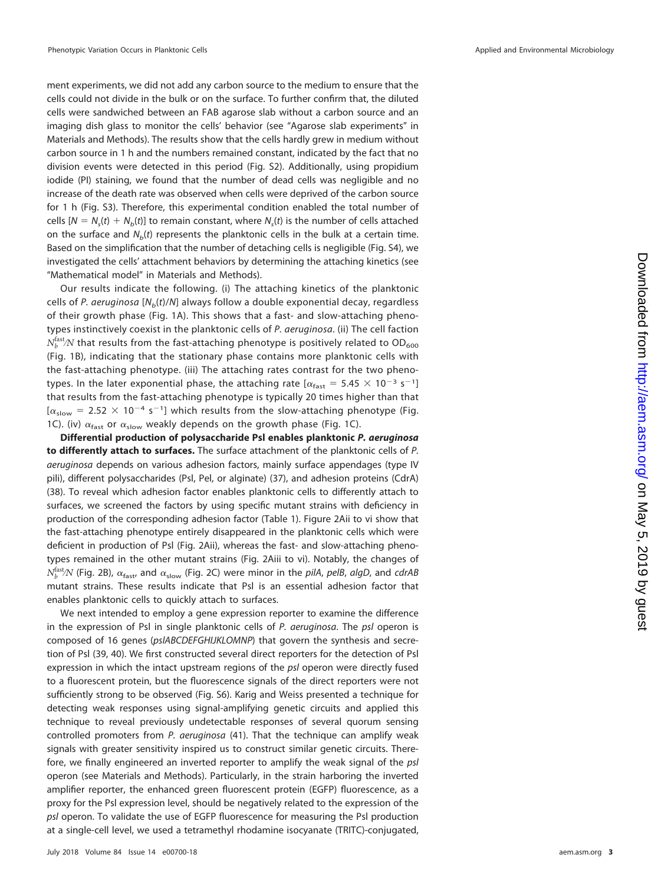ment experiments, we did not add any carbon source to the medium to ensure that the cells could not divide in the bulk or on the surface. To further confirm that, the diluted cells were sandwiched between an FAB agarose slab without a carbon source and an imaging dish glass to monitor the cells' behavior (see "Agarose slab experiments" in Materials and Methods). The results show that the cells hardly grew in medium without carbon source in 1 h and the numbers remained constant, indicated by the fact that no division events were detected in this period (Fig. S2). Additionally, using propidium iodide (PI) staining, we found that the number of dead cells was negligible and no increase of the death rate was observed when cells were deprived of the carbon source for 1 h (Fig. S3). Therefore, this experimental condition enabled the total number of cells  $[N = N<sub>s</sub>(t) + N<sub>b</sub>(t)]$  to remain constant, where  $N<sub>s</sub>(t)$  is the number of cells attached on the surface and  $N<sub>b</sub>(t)$  represents the planktonic cells in the bulk at a certain time. Based on the simplification that the number of detaching cells is negligible (Fig. S4), we investigated the cells' attachment behaviors by determining the attaching kinetics (see "Mathematical model" in Materials and Methods).

Our results indicate the following. (i) The attaching kinetics of the planktonic cells of P. aeruginosa  $[N_b(t)/N]$  always follow a double exponential decay, regardless of their growth phase [\(Fig. 1A\)](#page-3-0). This shows that a fast- and slow-attaching phenotypes instinctively coexist in the planktonic cells of P. aeruginosa. (ii) The cell faction  $N_b^{\rm fast}\!N$  that results from the fast-attaching phenotype is positively related to OD<sub>600</sub> [\(Fig. 1B\)](#page-3-0), indicating that the stationary phase contains more planktonic cells with the fast-attaching phenotype. (iii) The attaching rates contrast for the two phenotypes. In the later exponential phase, the attaching rate  $\alpha_{\text{fast}} = 5.45 \times 10^{-3} \text{ s}^{-1}$ ] that results from the fast-attaching phenotype is typically 20 times higher than that  $[\alpha_{slow} = 2.52 \times 10^{-4} \text{ s}^{-1}]$  which results from the slow-attaching phenotype [\(Fig.](#page-3-0) 1C). (iv)  $\alpha_{\text{fast}}$  or  $\alpha_{\text{slow}}$  weakly depends on the growth phase [\(Fig. 1C\)](#page-3-0).

**Differential production of polysaccharide Psl enables planktonic** *P. aeruginosa* **to differently attach to surfaces.** The surface attachment of the planktonic cells of P. aeruginosa depends on various adhesion factors, mainly surface appendages (type IV pili), different polysaccharides (Psl, Pel, or alginate) [\(37\)](#page-16-23), and adhesion proteins (CdrA) [\(38\)](#page-16-24). To reveal which adhesion factor enables planktonic cells to differently attach to surfaces, we screened the factors by using specific mutant strains with deficiency in production of the corresponding adhesion factor [\(Table 1\)](#page-4-0). [Figure 2Aii](#page-5-0) to [vi](#page-5-0) show that the fast-attaching phenotype entirely disappeared in the planktonic cells which were deficient in production of Psl [\(Fig. 2Aii\)](#page-5-0), whereas the fast- and slow-attaching phenotypes remained in the other mutant strains [\(Fig. 2Aiii](#page-5-0) to [vi\)](#page-5-0). Notably, the changes of  $N_b^{\rm fast}\!N$  [\(Fig. 2B\)](#page-5-0),  $\alpha_{\rm fast}$  and  $\alpha_{\rm slow}$  [\(Fig. 2C\)](#page-5-0) were minor in the *pilA, pelB, algD,* and *cdrAB* mutant strains. These results indicate that Psl is an essential adhesion factor that enables planktonic cells to quickly attach to surfaces.

We next intended to employ a gene expression reporter to examine the difference in the expression of Psl in single planktonic cells of  $P$ . *aeruginosa*. The psl operon is composed of 16 genes (pslABCDEFGHIJKLOMNP) that govern the synthesis and secretion of Psl [\(39,](#page-16-25) [40\)](#page-16-26). We first constructed several direct reporters for the detection of Psl expression in which the intact upstream regions of the psl operon were directly fused to a fluorescent protein, but the fluorescence signals of the direct reporters were not sufficiently strong to be observed (Fig. S6). Karig and Weiss presented a technique for detecting weak responses using signal-amplifying genetic circuits and applied this technique to reveal previously undetectable responses of several quorum sensing controlled promoters from P. aeruginosa [\(41\)](#page-16-27). That the technique can amplify weak signals with greater sensitivity inspired us to construct similar genetic circuits. Therefore, we finally engineered an inverted reporter to amplify the weak signal of the psl operon (see Materials and Methods). Particularly, in the strain harboring the inverted amplifier reporter, the enhanced green fluorescent protein (EGFP) fluorescence, as a proxy for the Psl expression level, should be negatively related to the expression of the psl operon. To validate the use of EGFP fluorescence for measuring the Psl production at a single-cell level, we used a tetramethyl rhodamine isocyanate (TRITC)-conjugated,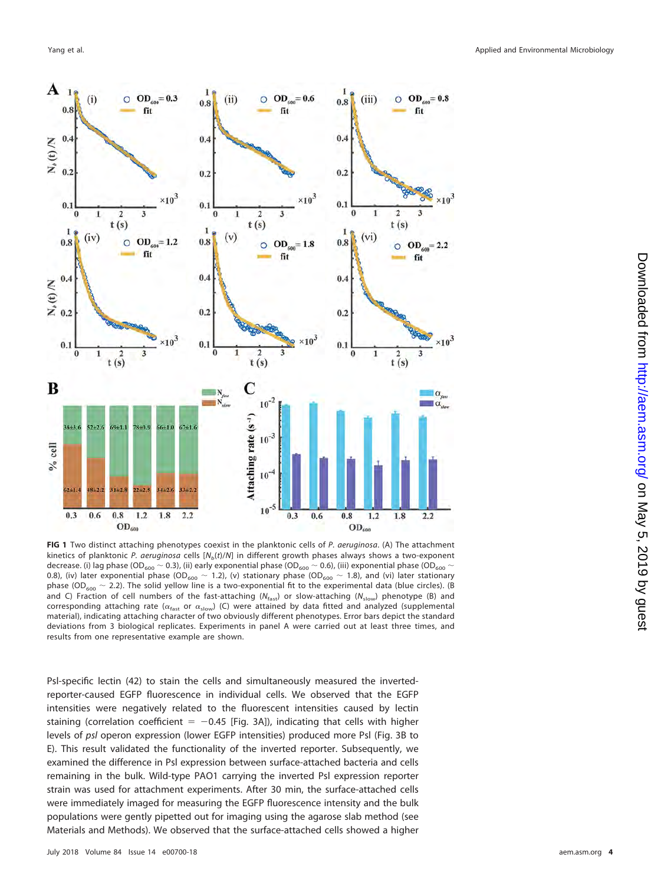

<span id="page-3-0"></span>**FIG 1** Two distinct attaching phenotypes coexist in the planktonic cells of P. aeruginosa. (A) The attachment kinetics of planktonic P. aeruginosa cells  $[N_b(t)/N]$  in different growth phases always shows a two-exponent decrease. (i) lag phase (OD<sub>600</sub>  $\sim$  0.3), (ii) early exponential phase (OD<sub>600</sub>  $\sim$  0.6), (iii) exponential phase (OD<sub>600</sub>  $\sim$ 0.8), (iv) later exponential phase (OD<sub>600</sub>  $\sim$  1.2), (v) stationary phase (OD<sub>600</sub>  $\sim$  1.8), and (vi) later stationary phase (OD<sub>600</sub>  $\sim$  2.2). The solid yellow line is a two-exponential fit to the experimental data (blue circles). (B and C) Fraction of cell numbers of the fast-attaching ( $N_{\text{fast}}$ ) or slow-attaching ( $N_{\text{slow}}$ ) phenotype (B) and corresponding attaching rate ( $\alpha_{fast}$  or  $\alpha_{slow}$ ) (C) were attained by data fitted and analyzed (supplemental material), indicating attaching character of two obviously different phenotypes. Error bars depict the standard deviations from 3 biological replicates. Experiments in panel A were carried out at least three times, and results from one representative example are shown.

Psl-specific lectin [\(42\)](#page-16-28) to stain the cells and simultaneously measured the invertedreporter-caused EGFP fluorescence in individual cells. We observed that the EGFP intensities were negatively related to the fluorescent intensities caused by lectin staining (correlation coefficient  $= -0.45$  [\[Fig. 3A\]](#page-6-0)), indicating that cells with higher levels of psl operon expression (lower EGFP intensities) produced more Psl [\(Fig. 3B](#page-6-0) to [E\)](#page-6-0). This result validated the functionality of the inverted reporter. Subsequently, we examined the difference in Psl expression between surface-attached bacteria and cells remaining in the bulk. Wild-type PAO1 carrying the inverted Psl expression reporter strain was used for attachment experiments. After 30 min, the surface-attached cells were immediately imaged for measuring the EGFP fluorescence intensity and the bulk populations were gently pipetted out for imaging using the agarose slab method (see Materials and Methods). We observed that the surface-attached cells showed a higher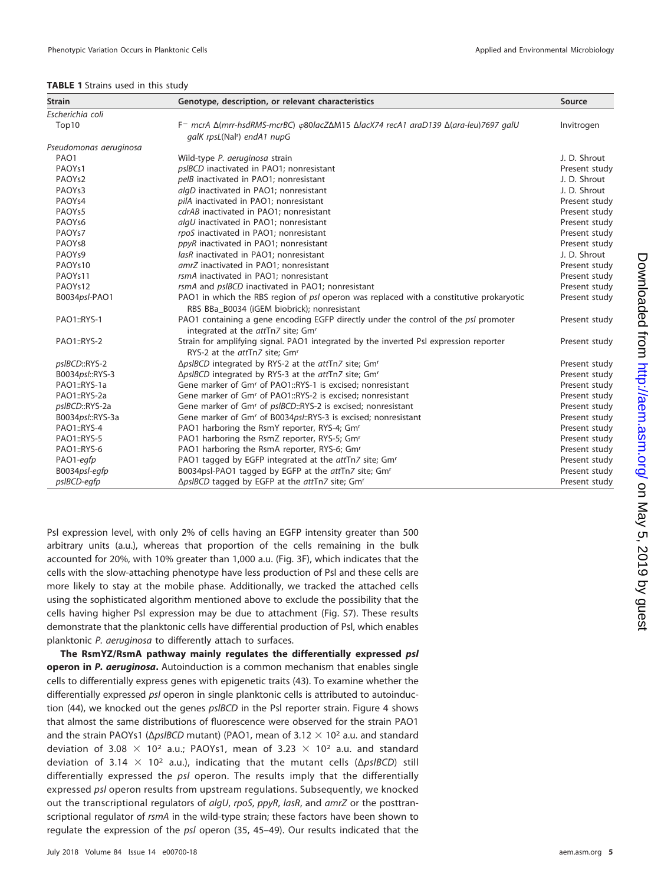<span id="page-4-0"></span>

|  |  | TABLE 1 Strains used in this study |  |  |  |  |
|--|--|------------------------------------|--|--|--|--|
|--|--|------------------------------------|--|--|--|--|

| <b>Strain</b>          | Genotype, description, or relevant characteristics                                                                                    | Source        |
|------------------------|---------------------------------------------------------------------------------------------------------------------------------------|---------------|
| Escherichia coli       |                                                                                                                                       |               |
| Top10                  | F- mcrA Δ(mrr-hsdRMS-mcrBC) φ80lacZΔM15 ΔlacX74 recA1 araD139 Δ(ara-leu)7697 galU                                                     | Invitrogen    |
|                        | galK rpsL(Nal <sup>r</sup> ) endA1 nupG                                                                                               |               |
| Pseudomonas aeruginosa |                                                                                                                                       |               |
| PAO1                   | Wild-type P. aeruginosa strain                                                                                                        | J. D. Shrout  |
| PAOYs1                 | psIBCD inactivated in PAO1; nonresistant                                                                                              | Present study |
| PAOY <sub>s2</sub>     | pelB inactivated in PAO1; nonresistant                                                                                                | J. D. Shrout  |
| PAOYs3                 | algD inactivated in PAO1; nonresistant                                                                                                | J. D. Shrout  |
| PAOYs4                 | pilA inactivated in PAO1; nonresistant                                                                                                | Present study |
| PAOYs5                 | cdrAB inactivated in PAO1; nonresistant                                                                                               | Present study |
| PAOY <sub>s6</sub>     | algU inactivated in PAO1; nonresistant                                                                                                | Present study |
| PAOY <sub>s7</sub>     | rpoS inactivated in PAO1; nonresistant                                                                                                | Present study |
| PAOY <sub>s8</sub>     | ppyR inactivated in PAO1; nonresistant                                                                                                | Present study |
| PAOY <sub>s9</sub>     | lasR inactivated in PAO1: nonresistant                                                                                                | J. D. Shrout  |
| PAOYs10                | amrZ inactivated in PAO1; nonresistant                                                                                                | Present study |
| PAOYs11                | rsmA inactivated in PAO1; nonresistant                                                                                                | Present study |
| PAOYs12                | rsmA and psIBCD inactivated in PAO1; nonresistant                                                                                     | Present study |
| B0034psl-PAO1          | PAO1 in which the RBS region of psl operon was replaced with a constitutive prokaryotic                                               | Present study |
|                        | RBS BBa B0034 (iGEM biobrick); nonresistant                                                                                           |               |
| PAO1::RYS-1            | PAO1 containing a gene encoding EGFP directly under the control of the psl promoter<br>integrated at the attTn7 site; Gm <sup>r</sup> | Present study |
| PAO1::RYS-2            | Strain for amplifying signal. PAO1 integrated by the inverted Psl expression reporter<br>RYS-2 at the attTn7 site: Gm <sup>r</sup>    | Present study |
| psIBCD::RYS-2          | ∆pslBCD integrated by RYS-2 at the attTn7 site; Gm <sup>r</sup>                                                                       | Present study |
| B0034psl::RYS-3        | ∆pslBCD integrated by RYS-3 at the attTn7 site; Gm <sup>r</sup>                                                                       | Present study |
| PAO1::RYS-1a           | Gene marker of Gm <sup>r</sup> of PAO1::RYS-1 is excised; nonresistant                                                                | Present study |
| PAO1::RYS-2a           | Gene marker of Gm <sup>r</sup> of PAO1::RYS-2 is excised; nonresistant                                                                | Present study |
| psIBCD::RYS-2a         | Gene marker of Gm <sup>r</sup> of pslBCD::RYS-2 is excised; nonresistant                                                              | Present study |
| B0034psl::RYS-3a       | Gene marker of Gm <sup>r</sup> of B0034psl::RYS-3 is excised; nonresistant                                                            | Present study |
| PAO1::RYS-4            | PAO1 harboring the RsmY reporter, RYS-4; Gm <sup>r</sup>                                                                              | Present study |
| PAO1::RYS-5            | PAO1 harboring the RsmZ reporter, RYS-5; Gm <sup>r</sup>                                                                              | Present study |
| PAO1::RYS-6            | PAO1 harboring the RsmA reporter, RYS-6; Gm <sup>r</sup>                                                                              | Present study |
| PAO1-egfp              | PAO1 tagged by EGFP integrated at the attTn7 site; Gmr                                                                                | Present study |
| B0034psl-eqfp          | B0034psl-PAO1 tagged by EGFP at the attTn7 site; Gm <sup>r</sup>                                                                      | Present study |
| psIBCD-egfp            | ∆pslBCD tagged by EGFP at the attTn7 site; Gm <sup>r</sup>                                                                            | Present study |

Psl expression level, with only 2% of cells having an EGFP intensity greater than 500 arbitrary units (a.u.), whereas that proportion of the cells remaining in the bulk accounted for 20%, with 10% greater than 1,000 a.u. [\(Fig. 3F\)](#page-6-0), which indicates that the cells with the slow-attaching phenotype have less production of Psl and these cells are more likely to stay at the mobile phase. Additionally, we tracked the attached cells using the sophisticated algorithm mentioned above to exclude the possibility that the cells having higher Psl expression may be due to attachment (Fig. S7). These results demonstrate that the planktonic cells have differential production of Psl, which enables planktonic P. aeruginosa to differently attach to surfaces.

**The RsmYZ/RsmA pathway mainly regulates the differentially expressed** *psl* **operon in** *P. aeruginosa***.** Autoinduction is a common mechanism that enables single cells to differentially express genes with epigenetic traits [\(43\)](#page-16-29). To examine whether the differentially expressed psl operon in single planktonic cells is attributed to autoinduc-tion [\(44\)](#page-16-30), we knocked out the genes psIBCD in the PsI reporter strain. [Figure 4](#page-7-0) shows that almost the same distributions of fluorescence were observed for the strain PAO1 and the strain PAOYs1 ( $\Delta pSBCD$  mutant) (PAO1, mean of 3.12  $\times$  10<sup>2</sup> a.u. and standard deviation of 3.08  $\times$  10<sup>2</sup> a.u.; PAOYs1, mean of 3.23  $\times$  10<sup>2</sup> a.u. and standard deviation of 3.14  $\times$  10<sup>2</sup> a.u.), indicating that the mutant cells ( $\Delta ps/BCD$ ) still differentially expressed the psl operon. The results imply that the differentially expressed psl operon results from upstream regulations. Subsequently, we knocked out the transcriptional regulators of algU, rpoS, ppyR, lasR, and amrZ or the posttranscriptional regulator of rsmA in the wild-type strain; these factors have been shown to regulate the expression of the psl operon [\(35,](#page-16-21) [45](#page-16-31)[–](#page-16-32)[49\)](#page-16-33). Our results indicated that the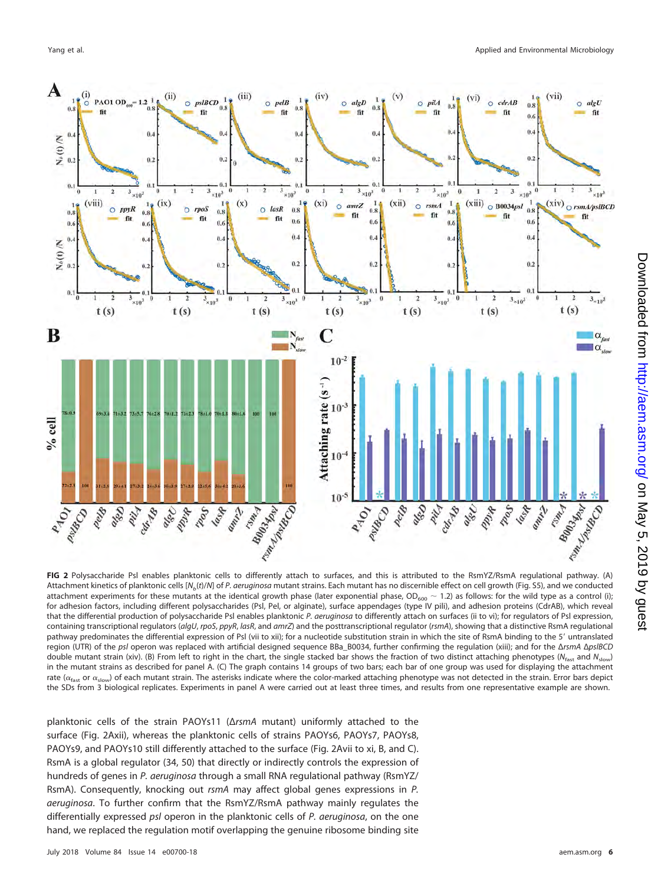

<span id="page-5-0"></span>**FIG 2** Polysaccharide Psl enables planktonic cells to differently attach to surfaces, and this is attributed to the RsmYZ/RsmA regulational pathway. (A) Attachment kinetics of planktonic cells [N<sub>b</sub>(t)/N] of P. aeruginosa mutant strains. Each mutant has no discernible effect on cell growth (Fig. S5), and we conducted attachment experiments for these mutants at the identical growth phase (later exponential phase,  $OD_{600} \sim 1.2$ ) as follows: for the wild type as a control (i); for adhesion factors, including different polysaccharides (Psl, Pel, or alginate), surface appendages (type IV pili), and adhesion proteins (CdrAB), which reveal that the differential production of polysaccharide Psl enables planktonic P. aeruginosa to differently attach on surfaces (ii to vi); for regulators of Psl expression, containing transcriptional regulators (algU, rpoS, ppyR, lasR, and amrZ) and the posttranscriptional regulator (rsmA), showing that a distinctive RsmA regulational pathway predominates the differential expression of Psl (vii to xii); for a nucleotide substitution strain in which the site of RsmA binding to the 5' untranslated region (UTR) of the psl operon was replaced with artificial designed sequence BBa\_B0034, further confirming the regulation (xiii); and for the ΔrsmA ΔpslBCD double mutant strain (xiv). (B) From left to right in the chart, the single stacked bar shows the fraction of two distinct attaching phenotypes (N<sub>fast</sub> and N<sub>slow</sub>) in the mutant strains as described for panel A. (C) The graph contains 14 groups of two bars; each bar of one group was used for displaying the attachment rate ( $\alpha_{\text{fast}}$  or  $\alpha_{\text{slow}}$ ) of each mutant strain. The asterisks indicate where the color-marked attaching phenotype was not detected in the strain. Error bars depict the SDs from 3 biological replicates. Experiments in panel A were carried out at least three times, and results from one representative example are shown.

planktonic cells of the strain PAOYs11 (ΔrsmA mutant) uniformly attached to the surface [\(Fig. 2Axii\)](#page-5-0), whereas the planktonic cells of strains PAOYs6, PAOYs7, PAOYs8, PAOYs9, and PAOYs10 still differently attached to the surface [\(Fig. 2Avii](#page-5-0) to [xi,](#page-5-0) [B,](#page-5-0) and [C\)](#page-5-0). RsmA is a global regulator [\(34,](#page-16-20) [50\)](#page-16-34) that directly or indirectly controls the expression of hundreds of genes in P. aeruginosa through a small RNA regulational pathway (RsmYZ/ RsmA). Consequently, knocking out rsmA may affect global genes expressions in P. aeruginosa. To further confirm that the RsmYZ/RsmA pathway mainly regulates the differentially expressed psl operon in the planktonic cells of P. aeruginosa, on the one hand, we replaced the regulation motif overlapping the genuine ribosome binding site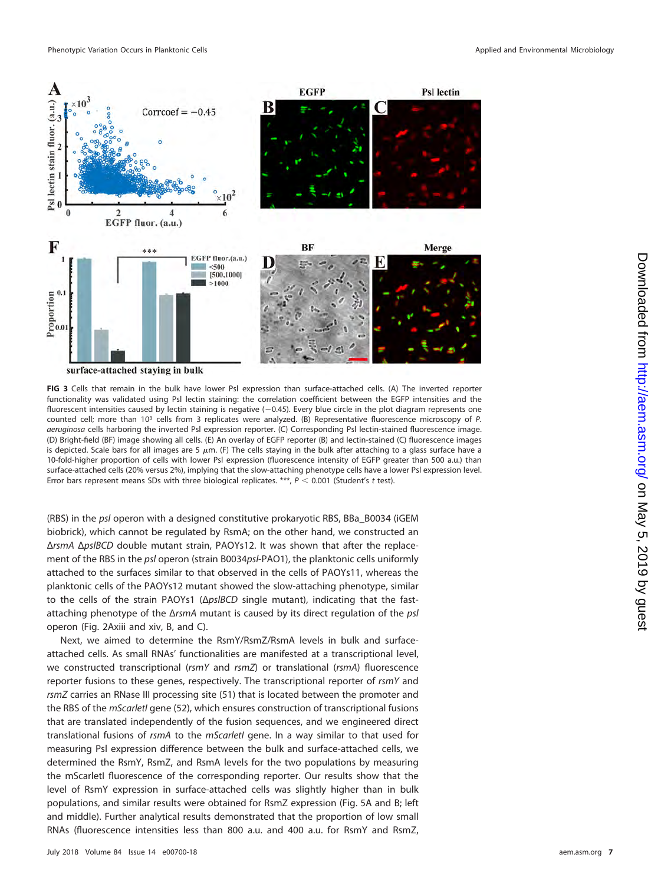

<span id="page-6-0"></span>**FIG 3** Cells that remain in the bulk have lower Psl expression than surface-attached cells. (A) The inverted reporter functionality was validated using Psl lectin staining: the correlation coefficient between the EGFP intensities and the fluorescent intensities caused by lectin staining is negative  $(-0.45)$ . Every blue circle in the plot diagram represents one counted cell; more than 10<sup>3</sup> cells from 3 replicates were analyzed. (B) Representative fluorescence microscopy of P. aeruginosa cells harboring the inverted Psl expression reporter. (C) Corresponding Psl lectin-stained fluorescence image. (D) Bright-field (BF) image showing all cells. (E) An overlay of EGFP reporter (B) and lectin-stained (C) fluorescence images is depicted. Scale bars for all images are 5  $\mu$ m. (F) The cells staying in the bulk after attaching to a glass surface have a 10-fold-higher proportion of cells with lower Psl expression (fluorescence intensity of EGFP greater than 500 a.u.) than surface-attached cells (20% versus 2%), implying that the slow-attaching phenotype cells have a lower Psl expression level. Error bars represent means SDs with three biological replicates. \*\*\*,  $P < 0.001$  (Student's t test).

(RBS) in the psl operon with a designed constitutive prokaryotic RBS, BBa\_B0034 (iGEM biobrick), which cannot be regulated by RsmA; on the other hand, we constructed an ΔrsmA ΔpslBCD double mutant strain, PAOYs12. It was shown that after the replacement of the RBS in the psl operon (strain B0034psl-PAO1), the planktonic cells uniformly attached to the surfaces similar to that observed in the cells of PAOYs11, whereas the planktonic cells of the PAOYs12 mutant showed the slow-attaching phenotype, similar to the cells of the strain PAOYs1 (ΔpslBCD single mutant), indicating that the fastattaching phenotype of the ΔrsmA mutant is caused by its direct regulation of the psl operon [\(Fig. 2Axiii](#page-5-0) and [xiv,](#page-5-0) [B,](#page-5-0) and [C\)](#page-5-0).

Next, we aimed to determine the RsmY/RsmZ/RsmA levels in bulk and surfaceattached cells. As small RNAs' functionalities are manifested at a transcriptional level, we constructed transcriptional ( $rsmY$  and  $rsmZ$ ) or translational ( $rsmA$ ) fluorescence reporter fusions to these genes, respectively. The transcriptional reporter of rsmY and rsmZ carries an RNase III processing site [\(51\)](#page-17-0) that is located between the promoter and the RBS of the *mScarletI* gene [\(52\)](#page-17-1), which ensures construction of transcriptional fusions that are translated independently of the fusion sequences, and we engineered direct translational fusions of rsmA to the mScarletI gene. In a way similar to that used for measuring Psl expression difference between the bulk and surface-attached cells, we determined the RsmY, RsmZ, and RsmA levels for the two populations by measuring the mScarletI fluorescence of the corresponding reporter. Our results show that the level of RsmY expression in surface-attached cells was slightly higher than in bulk populations, and similar results were obtained for RsmZ expression [\(Fig. 5A](#page-8-0) and [B;](#page-8-0) left and middle). Further analytical results demonstrated that the proportion of low small RNAs (fluorescence intensities less than 800 a.u. and 400 a.u. for RsmY and RsmZ,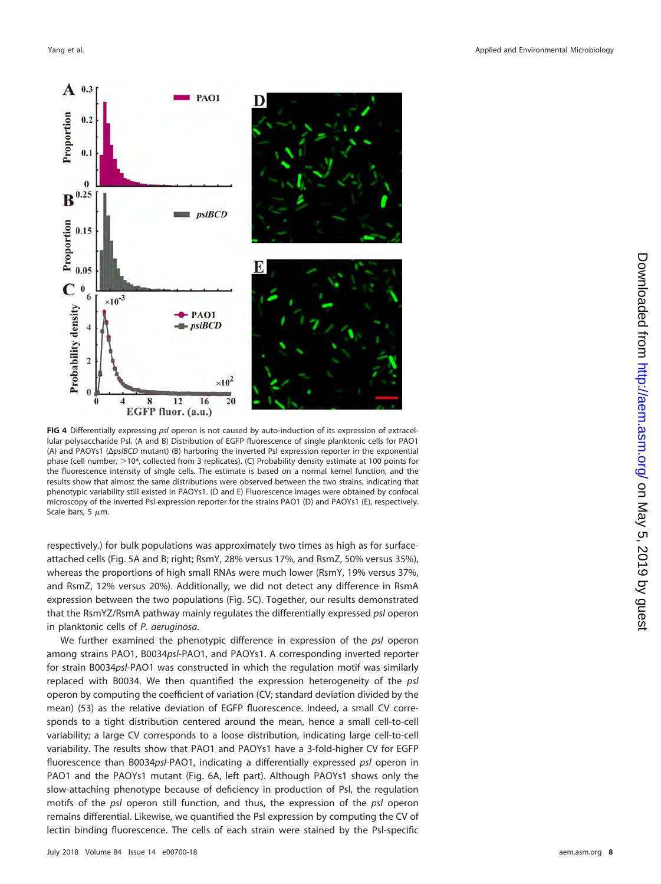

<span id="page-7-0"></span>**FIG 4** Differentially expressing psl operon is not caused by auto-induction of its expression of extracellular polysaccharide Psl. (A and B) Distribution of EGFP fluorescence of single planktonic cells for PAO1 (A) and PAOYs1 (ΔpslBCD mutant) (B) harboring the inverted Psl expression reporter in the exponential phase (cell number,  $>$ 104, collected from 3 replicates). (C) Probability density estimate at 100 points for the fluorescence intensity of single cells. The estimate is based on a normal kernel function, and the results show that almost the same distributions were observed between the two strains, indicating that phenotypic variability still existed in PAOYs1. (D and E) Fluorescence images were obtained by confocal microscopy of the inverted Psl expression reporter for the strains PAO1 (D) and PAOYs1 (E), respectively. Scale bars, 5  $\mu$ m.

respectively.) for bulk populations was approximately two times as high as for surfaceattached cells [\(Fig. 5A](#page-8-0) and [B;](#page-8-0) right; RsmY, 28% versus 17%, and RsmZ, 50% versus 35%), whereas the proportions of high small RNAs were much lower (RsmY, 19% versus 37%, and RsmZ, 12% versus 20%). Additionally, we did not detect any difference in RsmA expression between the two populations [\(Fig. 5C\)](#page-8-0). Together, our results demonstrated that the RsmYZ/RsmA pathway mainly regulates the differentially expressed psl operon in planktonic cells of P. aeruginosa.

We further examined the phenotypic difference in expression of the psl operon among strains PAO1, B0034psl-PAO1, and PAOYs1. A corresponding inverted reporter for strain B0034psl-PAO1 was constructed in which the regulation motif was similarly replaced with B0034. We then quantified the expression heterogeneity of the psl operon by computing the coefficient of variation (CV; standard deviation divided by the mean) [\(53\)](#page-17-2) as the relative deviation of EGFP fluorescence. Indeed, a small CV corresponds to a tight distribution centered around the mean, hence a small cell-to-cell variability; a large CV corresponds to a loose distribution, indicating large cell-to-cell variability. The results show that PAO1 and PAOYs1 have a 3-fold-higher CV for EGFP fluorescence than B0034psl-PAO1, indicating a differentially expressed psl operon in PAO1 and the PAOYs1 mutant [\(Fig. 6A,](#page-9-0) left part). Although PAOYs1 shows only the slow-attaching phenotype because of deficiency in production of Psl, the regulation motifs of the psl operon still function, and thus, the expression of the psl operon remains differential. Likewise, we quantified the Psl expression by computing the CV of lectin binding fluorescence. The cells of each strain were stained by the Psl-specific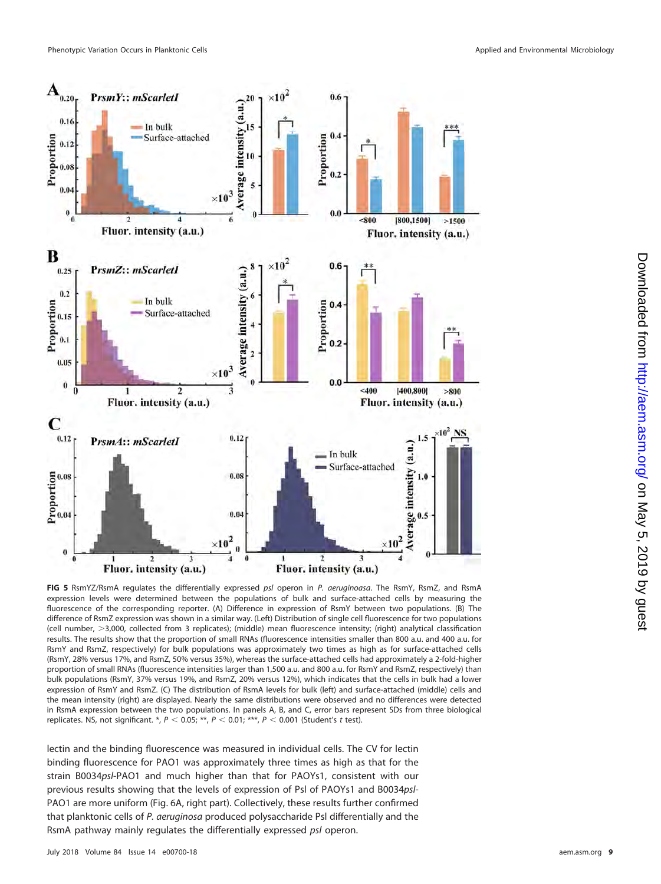



<span id="page-8-0"></span>**FIG 5** RsmYZ/RsmA regulates the differentially expressed psl operon in P. aeruginoasa. The RsmY, RsmZ, and RsmA expression levels were determined between the populations of bulk and surface-attached cells by measuring the fluorescence of the corresponding reporter. (A) Difference in expression of RsmY between two populations. (B) The difference of RsmZ expression was shown in a similar way. (Left) Distribution of single cell fluorescence for two populations (cell number, 3,000, collected from 3 replicates); (middle) mean fluorescence intensity; (right) analytical classification results. The results show that the proportion of small RNAs (fluorescence intensities smaller than 800 a.u. and 400 a.u. for RsmY and RsmZ, respectively) for bulk populations was approximately two times as high as for surface-attached cells (RsmY, 28% versus 17%, and RsmZ, 50% versus 35%), whereas the surface-attached cells had approximately a 2-fold-higher proportion of small RNAs (fluorescence intensities larger than 1,500 a.u. and 800 a.u. for RsmY and RsmZ, respectively) than bulk populations (RsmY, 37% versus 19%, and RsmZ, 20% versus 12%), which indicates that the cells in bulk had a lower expression of RsmY and RsmZ. (C) The distribution of RsmA levels for bulk (left) and surface-attached (middle) cells and the mean intensity (right) are displayed. Nearly the same distributions were observed and no differences were detected in RsmA expression between the two populations. In panels A, B, and C, error bars represent SDs from three biological replicates. NS, not significant. \*,  $P < 0.05$ ; \*\*,  $P < 0.01$ ; \*\*\*,  $P < 0.001$  (Student's t test).

lectin and the binding fluorescence was measured in individual cells. The CV for lectin binding fluorescence for PAO1 was approximately three times as high as that for the strain B0034psl-PAO1 and much higher than that for PAOYs1, consistent with our previous results showing that the levels of expression of Psl of PAOYs1 and B0034psl-PAO1 are more uniform [\(Fig. 6A,](#page-9-0) right part). Collectively, these results further confirmed that planktonic cells of P. aeruginosa produced polysaccharide Psl differentially and the RsmA pathway mainly regulates the differentially expressed psl operon.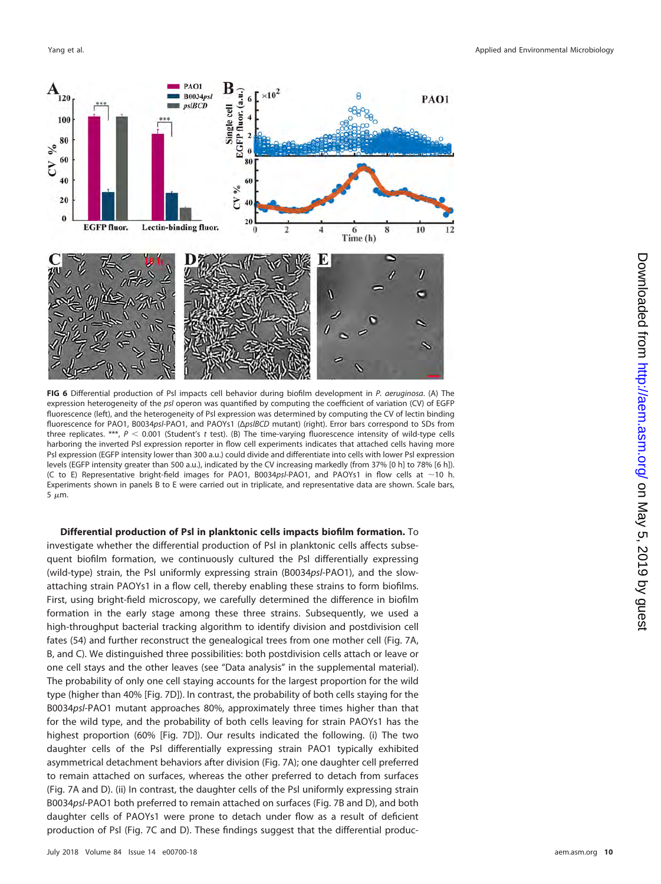

<span id="page-9-0"></span>**FIG 6** Differential production of Psl impacts cell behavior during biofilm development in P. aeruginosa. (A) The expression heterogeneity of the psl operon was quantified by computing the coefficient of variation (CV) of EGFP fluorescence (left), and the heterogeneity of Psl expression was determined by computing the CV of lectin binding fluorescence for PAO1, B0034psl-PAO1, and PAOYs1 (ΔpslBCD mutant) (right). Error bars correspond to SDs from three replicates. \*\*\*,  $P < 0.001$  (Student's t test). (B) The time-varying fluorescence intensity of wild-type cells harboring the inverted Psl expression reporter in flow cell experiments indicates that attached cells having more Psl expression (EGFP intensity lower than 300 a.u.) could divide and differentiate into cells with lower Psl expression levels (EGFP intensity greater than 500 a.u.), indicated by the CV increasing markedly (from 37% [0 h] to 78% [6 h]). (C to E) Representative bright-field images for PAO1, B0034ps/-PAO1, and PAOYs1 in flow cells at  $\sim$ 10 h. Experiments shown in panels B to E were carried out in triplicate, and representative data are shown. Scale bars, 5  $\mu$ m.

### **Differential production of Psl in planktonic cells impacts biofilm formation.** To

investigate whether the differential production of Psl in planktonic cells affects subsequent biofilm formation, we continuously cultured the Psl differentially expressing (wild-type) strain, the Psl uniformly expressing strain (B0034psl-PAO1), and the slowattaching strain PAOYs1 in a flow cell, thereby enabling these strains to form biofilms. First, using bright-field microscopy, we carefully determined the difference in biofilm formation in the early stage among these three strains. Subsequently, we used a high-throughput bacterial tracking algorithm to identify division and postdivision cell fates [\(54\)](#page-17-3) and further reconstruct the genealogical trees from one mother cell [\(Fig. 7A,](#page-10-0) [B,](#page-10-0) and [C\)](#page-10-0). We distinguished three possibilities: both postdivision cells attach or leave or one cell stays and the other leaves (see "Data analysis" in the supplemental material). The probability of only one cell staying accounts for the largest proportion for the wild type (higher than 40% [\[Fig. 7D\]](#page-10-0)). In contrast, the probability of both cells staying for the B0034psl-PAO1 mutant approaches 80%, approximately three times higher than that for the wild type, and the probability of both cells leaving for strain PAOYs1 has the highest proportion (60% [\[Fig. 7D\]](#page-10-0)). Our results indicated the following. (i) The two daughter cells of the Psl differentially expressing strain PAO1 typically exhibited asymmetrical detachment behaviors after division [\(Fig. 7A\)](#page-10-0); one daughter cell preferred to remain attached on surfaces, whereas the other preferred to detach from surfaces [\(Fig. 7A](#page-10-0) and [D\)](#page-10-0). (ii) In contrast, the daughter cells of the Psl uniformly expressing strain B0034psl-PAO1 both preferred to remain attached on surfaces [\(Fig. 7B](#page-10-0) and [D\)](#page-10-0), and both daughter cells of PAOYs1 were prone to detach under flow as a result of deficient production of Psl [\(Fig. 7C](#page-10-0) and [D\)](#page-10-0). These findings suggest that the differential produc-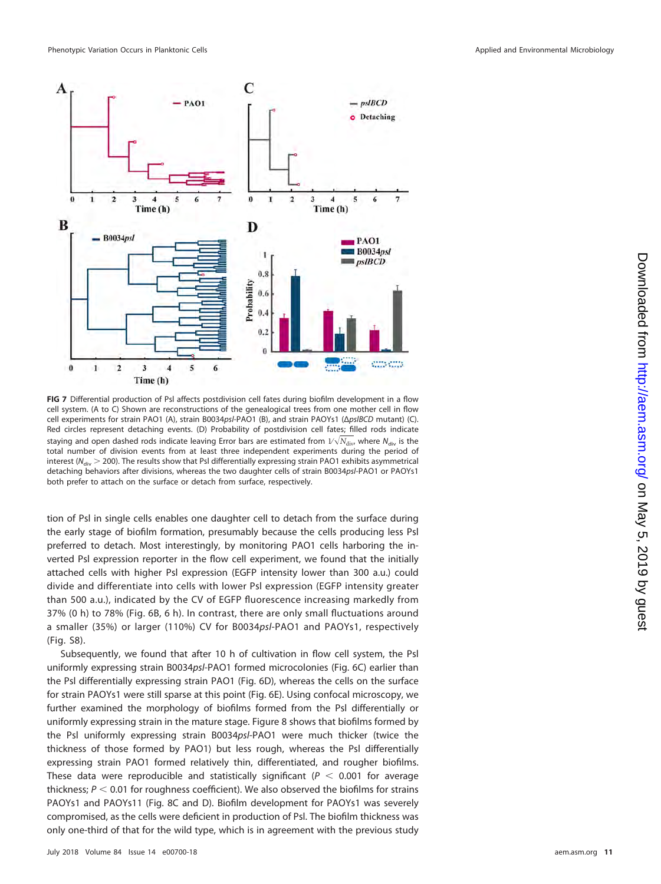

<span id="page-10-0"></span>**FIG 7** Differential production of Psl affects postdivision cell fates during biofilm development in a flow cell system. (A to C) Shown are reconstructions of the genealogical trees from one mother cell in flow cell experiments for strain PAO1 (A), strain B0034psl-PAO1 (B), and strain PAOYs1 (ΔpslBCD mutant) (C). Red circles represent detaching events. (D) Probability of postdivision cell fates; filled rods indicate staying and open dashed rods indicate leaving Error bars are estimated from 1⁄-*N*div, where Ndiv is the total number of division events from at least three independent experiments during the period of interest ( $N_{div}$   $>$  200). The results show that PsI differentially expressing strain PAO1 exhibits asymmetrical detaching behaviors after divisions, whereas the two daughter cells of strain B0034psl-PAO1 or PAOYs1 both prefer to attach on the surface or detach from surface, respectively.

tion of Psl in single cells enables one daughter cell to detach from the surface during the early stage of biofilm formation, presumably because the cells producing less Psl preferred to detach. Most interestingly, by monitoring PAO1 cells harboring the inverted Psl expression reporter in the flow cell experiment, we found that the initially attached cells with higher Psl expression (EGFP intensity lower than 300 a.u.) could divide and differentiate into cells with lower Psl expression (EGFP intensity greater than 500 a.u.), indicated by the CV of EGFP fluorescence increasing markedly from 37% (0 h) to 78% [\(Fig. 6B,](#page-9-0) 6 h). In contrast, there are only small fluctuations around a smaller (35%) or larger (110%) CV for B0034psl-PAO1 and PAOYs1, respectively (Fig. S8).

Subsequently, we found that after 10 h of cultivation in flow cell system, the Psl uniformly expressing strain B0034psl-PAO1 formed microcolonies [\(Fig. 6C\)](#page-9-0) earlier than the Psl differentially expressing strain PAO1 [\(Fig. 6D\)](#page-9-0), whereas the cells on the surface for strain PAOYs1 were still sparse at this point [\(Fig. 6E\)](#page-9-0). Using confocal microscopy, we further examined the morphology of biofilms formed from the Psl differentially or uniformly expressing strain in the mature stage. [Figure 8](#page-11-0) shows that biofilms formed by the Psl uniformly expressing strain B0034psl-PAO1 were much thicker (twice the thickness of those formed by PAO1) but less rough, whereas the Psl differentially expressing strain PAO1 formed relatively thin, differentiated, and rougher biofilms. These data were reproducible and statistically significant ( $P < 0.001$  for average thickness;  $P < 0.01$  for roughness coefficient). We also observed the biofilms for strains PAOYs1 and PAOYs11 [\(Fig. 8C](#page-11-0) and [D\)](#page-11-0). Biofilm development for PAOYs1 was severely compromised, as the cells were deficient in production of Psl. The biofilm thickness was only one-third of that for the wild type, which is in agreement with the previous study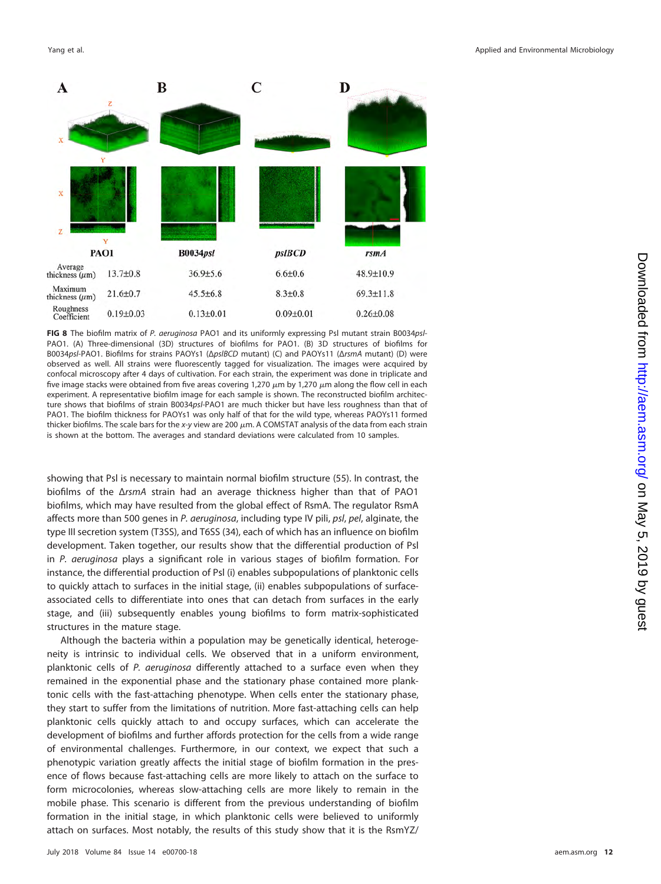

<span id="page-11-0"></span>**FIG 8** The biofilm matrix of P. aeruginosa PAO1 and its uniformly expressing Psl mutant strain B0034psl-PAO1. (A) Three-dimensional (3D) structures of biofilms for PAO1. (B) 3D structures of biofilms for B0034psl-PAO1. Biofilms for strains PAOYs1 (ΔpslBCD mutant) (C) and PAOYs11 (ΔrsmA mutant) (D) were observed as well. All strains were fluorescently tagged for visualization. The images were acquired by confocal microscopy after 4 days of cultivation. For each strain, the experiment was done in triplicate and five image stacks were obtained from five areas covering 1,270  $\mu$ m by 1,270  $\mu$ m along the flow cell in each experiment. A representative biofilm image for each sample is shown. The reconstructed biofilm architecture shows that biofilms of strain B0034psl-PAO1 are much thicker but have less roughness than that of PAO1. The biofilm thickness for PAOYs1 was only half of that for the wild type, whereas PAOYs11 formed thicker biofilms. The scale bars for the x-y view are 200  $\mu$ m. A COMSTAT analysis of the data from each strain is shown at the bottom. The averages and standard deviations were calculated from 10 samples.

showing that Psl is necessary to maintain normal biofilm structure [\(55\)](#page-17-4). In contrast, the biofilms of the ΔrsmA strain had an average thickness higher than that of PAO1 biofilms, which may have resulted from the global effect of RsmA. The regulator RsmA affects more than 500 genes in P. aeruginosa, including type IV pili, psl, pel, alginate, the type III secretion system (T3SS), and T6SS [\(34\)](#page-16-20), each of which has an influence on biofilm development. Taken together, our results show that the differential production of Psl in P. aeruginosa plays a significant role in various stages of biofilm formation. For instance, the differential production of Psl (i) enables subpopulations of planktonic cells to quickly attach to surfaces in the initial stage, (ii) enables subpopulations of surfaceassociated cells to differentiate into ones that can detach from surfaces in the early stage, and (iii) subsequently enables young biofilms to form matrix-sophisticated structures in the mature stage.

Although the bacteria within a population may be genetically identical, heterogeneity is intrinsic to individual cells. We observed that in a uniform environment, planktonic cells of P. aeruginosa differently attached to a surface even when they remained in the exponential phase and the stationary phase contained more planktonic cells with the fast-attaching phenotype. When cells enter the stationary phase, they start to suffer from the limitations of nutrition. More fast-attaching cells can help planktonic cells quickly attach to and occupy surfaces, which can accelerate the development of biofilms and further affords protection for the cells from a wide range of environmental challenges. Furthermore, in our context, we expect that such a phenotypic variation greatly affects the initial stage of biofilm formation in the presence of flows because fast-attaching cells are more likely to attach on the surface to form microcolonies, whereas slow-attaching cells are more likely to remain in the mobile phase. This scenario is different from the previous understanding of biofilm formation in the initial stage, in which planktonic cells were believed to uniformly attach on surfaces. Most notably, the results of this study show that it is the RsmYZ/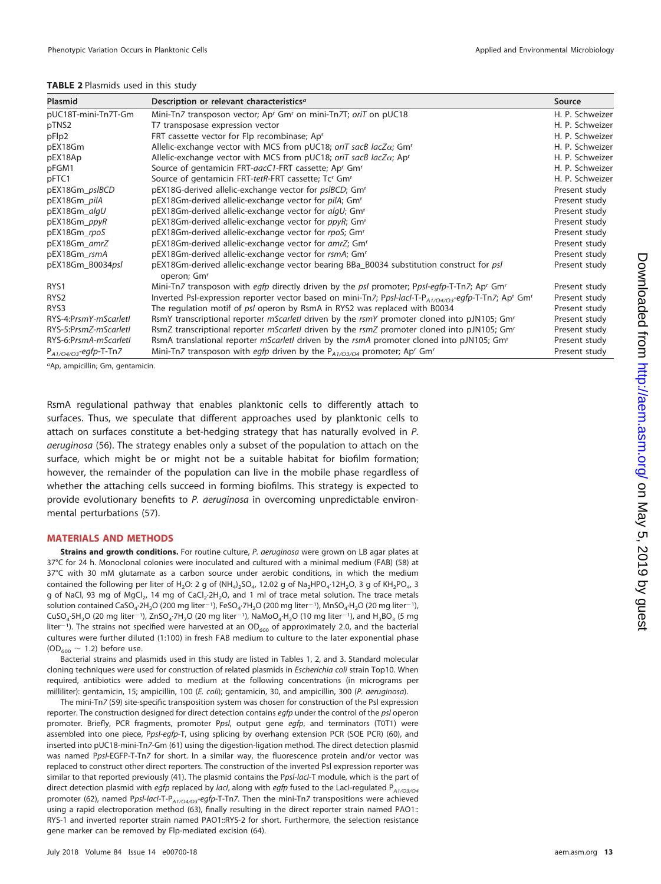#### <span id="page-12-0"></span>**TABLE 2** Plasmids used in this study

| <b>Plasmid</b>             | Description or relevant characteristics <sup>a</sup>                                                                                      | Source          |
|----------------------------|-------------------------------------------------------------------------------------------------------------------------------------------|-----------------|
| pUC18T-mini-Tn7T-Gm        | Mini-Tn7 transposon vector; Ap <sup>r</sup> Gm <sup>r</sup> on mini-Tn7T; oriT on pUC18                                                   | H. P. Schweizer |
| pTNS2                      | T7 transposase expression vector                                                                                                          | H. P. Schweizer |
| pFlp2                      | FRT cassette vector for Flp recombinase; Apr                                                                                              | H. P. Schweizer |
| pEX18Gm                    | Allelic-exchange vector with MCS from pUC18; oriT sacB lacZ $\alpha$ ; Gm <sup>r</sup>                                                    | H. P. Schweizer |
| pEX18Ap                    | Allelic-exchange vector with MCS from pUC18; oriT sacB lacZ $\alpha$ ; Ap <sup>r</sup>                                                    | H. P. Schweizer |
| pFGM1                      | Source of gentamicin FRT-aacC1-FRT cassette; Ap <sup>r</sup> Gm <sup>r</sup>                                                              | H. P. Schweizer |
| pFTC1                      | Source of gentamicin FRT-tetR-FRT cassette; Tc <sup>r</sup> Gm <sup>r</sup>                                                               | H. P. Schweizer |
| pEX18Gm_pslBCD             | pEX18G-derived allelic-exchange vector for <i>psIBCD</i> ; Gm <sup>r</sup>                                                                | Present study   |
| pEX18Gm_pilA               | pEX18Gm-derived allelic-exchange vector for pilA; Gm <sup>r</sup>                                                                         | Present study   |
| pEX18Gm_algU               | pEX18Gm-derived allelic-exchange vector for algU; Gm <sup>r</sup>                                                                         | Present study   |
| pEX18Gm_ppyR               | pEX18Gm-derived allelic-exchange vector for ppyR; Gm <sup>r</sup>                                                                         | Present study   |
| pEX18Gm_rpoS               | pEX18Gm-derived allelic-exchange vector for rpoS; Gm <sup>r</sup>                                                                         | Present study   |
| pEX18Gm_amrZ               | pEX18Gm-derived allelic-exchange vector for amrZ; Gmr                                                                                     | Present study   |
| pEX18Gm_rsmA               | pEX18Gm-derived allelic-exchange vector for rsmA; Gm <sup>r</sup>                                                                         | Present study   |
| pEX18Gm_B0034psl           | pEX18Gm-derived allelic-exchange vector bearing BBa_B0034 substitution construct for psl<br>operon; Gm <sup>r</sup>                       | Present study   |
| RYS1                       | Mini-Tn7 transposon with eqfp directly driven by the psl promoter; Ppsl-eqfp-T-Tn7; Ap' Gm'                                               | Present study   |
| RYS <sub>2</sub>           | Inverted PsI-expression reporter vector based on mini-Tn7; PpsI-lacI-T-P <sub>A1/04/03</sub> -egfp-T-Tn7; Ap <sup>r</sup> Gm <sup>r</sup> | Present study   |
| RYS3                       | The regulation motif of psl operon by RsmA in RYS2 was replaced with B0034                                                                | Present study   |
| RYS-4:PrsmY-mScarletl      | RsmY transcriptional reporter mScarlet/ driven by the rsmY promoter cloned into pJN105; Gm <sup>r</sup>                                   | Present study   |
| RYS-5:PrsmZ-mScarletl      | RsmZ transcriptional reporter mScarlet/ driven by the rsmZ promoter cloned into pJN105; Gm <sup>r</sup>                                   | Present study   |
| RYS-6:PrsmA-mScarletl      | RsmA translational reporter <i>mScarletl</i> driven by the <i>rsmA</i> promoter cloned into pJN105; Gm <sup>r</sup>                       | Present study   |
| $P_{A1/O4/O3}$ -egfp-T-Tn7 | Mini-Tn7 transposon with egfp driven by the $P_{A1/O3/O4}$ promoter; Ap <sup>r</sup> Gm <sup>r</sup>                                      | Present study   |

aAp, ampicillin; Gm, gentamicin.

RsmA regulational pathway that enables planktonic cells to differently attach to surfaces. Thus, we speculate that different approaches used by planktonic cells to attach on surfaces constitute a bet-hedging strategy that has naturally evolved in P. aeruginosa [\(56\)](#page-17-5). The strategy enables only a subset of the population to attach on the surface, which might be or might not be a suitable habitat for biofilm formation; however, the remainder of the population can live in the mobile phase regardless of whether the attaching cells succeed in forming biofilms. This strategy is expected to provide evolutionary benefits to P. aeruginosa in overcoming unpredictable environmental perturbations [\(57\)](#page-17-6).

#### **MATERIALS AND METHODS**

**Strains and growth conditions.** For routine culture, P. *geruginosa* were grown on LB agar plates at 37°C for 24 h. Monoclonal colonies were inoculated and cultured with a minimal medium (FAB) [\(58\)](#page-17-7) at 37°C with 30 mM glutamate as a carbon source under aerobic conditions, in which the medium contained the following per liter of H<sub>2</sub>O: 2 g of  $(NH_4)_2SO_4$ , 12.02 g of  $Na_2HPO_4$ ·12H<sub>2</sub>O, 3 g of  $KH_2PO_4$ , 3 g of NaCl, 93 mg of MgCl<sub>2</sub>, 14 mg of CaCl<sub>2</sub>·2H<sub>2</sub>O, and 1 ml of trace metal solution. The trace metals solution contained CaSO<sub>4</sub>·2H<sub>2</sub>O (200 mg liter<sup>-1</sup>), FeSO<sub>4</sub>·7H<sub>2</sub>O (200 mg liter<sup>-1</sup>), MnSO<sub>4</sub>·H<sub>2</sub>O (20 mg liter<sup>-1</sup>),  $CuSO_4·5H_2O$  (20 mg liter<sup>-1</sup>), ZnSO<sub>4</sub>·7H<sub>2</sub>O (20 mg liter<sup>-1</sup>), NaMoO<sub>4</sub>·H<sub>2</sub>O (10 mg liter<sup>-1</sup>), and H<sub>3</sub>BO<sub>3</sub> (5 mg liter<sup>-1</sup>). The strains not specified were harvested at an OD<sub>600</sub> of approximately 2.0, and the bacterial cultures were further diluted (1:100) in fresh FAB medium to culture to the later exponential phase  $(OD_{600} \sim 1.2)$  before use.

Bacterial strains and plasmids used in this study are listed in [Tables 1,](#page-4-0) [2,](#page-12-0) and [3.](#page-13-0) Standard molecular cloning techniques were used for construction of related plasmids in Escherichia coli strain Top10. When required, antibiotics were added to medium at the following concentrations (in micrograms per milliliter): gentamicin, 15; ampicillin, 100 (E. coli); gentamicin, 30, and ampicillin, 300 (P. aeruginosa).

The mini-Tn7 [\(59\)](#page-17-8) site-specific transposition system was chosen for construction of the Psl expression reporter. The construction designed for direct detection contains egfp under the control of the psl operon promoter. Briefly, PCR fragments, promoter Ppsl, output gene egfp, and terminators (T0T1) were assembled into one piece, Ppsl-egfp-T, using splicing by overhang extension PCR (SOE PCR) [\(60\)](#page-17-9), and inserted into pUC18-mini-Tn7-Gm [\(61\)](#page-17-10) using the digestion-ligation method. The direct detection plasmid was named Ppsl-EGFP-T-Tn7 for short. In a similar way, the fluorescence protein and/or vector was replaced to construct other direct reporters. The construction of the inverted Psl expression reporter was similar to that reported previously [\(41\)](#page-16-27). The plasmid contains the Ppsl-lacl-T module, which is the part of direct detection plasmid with egfp replaced by lacl, along with egfp fused to the LacI-regulated  $P_{A1/O3/O4}$ promoter [\(62\)](#page-17-11), named Ppsl-lacl-T-P<sub>A1/O4/O3</sub>-egfp-T-Tn7. Then the mini-Tn7 transpositions were achieved using a rapid electroporation method [\(63\)](#page-17-12), finally resulting in the direct reporter strain named PAO1:: RYS-1 and inverted reporter strain named PAO1::RYS-2 for short. Furthermore, the selection resistance gene marker can be removed by Flp-mediated excision [\(64\)](#page-17-13).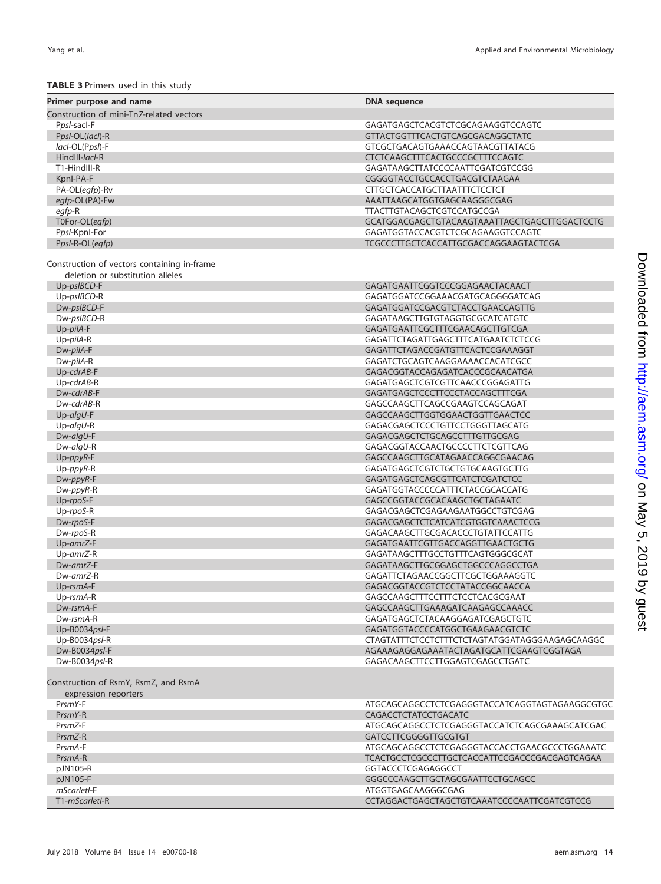#### Yang et al. Applied and Environmental Microbiology

## **TABLE 3** Primers used in this study

<span id="page-13-0"></span>

| <b>INDLE 3</b> I littlets used it this study                                    |                                                |
|---------------------------------------------------------------------------------|------------------------------------------------|
| Primer purpose and name                                                         | <b>DNA</b> sequence                            |
| Construction of mini-Tn7-related vectors                                        |                                                |
| Ppsl-sacl-F                                                                     | GAGATGAGCTCACGTCTCGCAGAAGGTCCAGTC              |
| Ppsl-OL(lacl)-R                                                                 | GTTACTGGTTTCACTGTCAGCGACAGGCTATC               |
| lacl-OL(Ppsl)-F                                                                 | GTCGCTGACAGTGAAACCAGTAACGTTATACG               |
| HindIII-lacl-R                                                                  | <b>CTCTCAAGCTTTCACTGCCCGCTTTCCAGTC</b>         |
| T1-HindIII-R                                                                    | GAGATAAGCTTATCCCCAATTCGATCGTCCGG               |
| Kpnl-PA-F                                                                       | CGGGGTACCTGCCACCTGACGTCTAAGAA                  |
| PA-OL(egfp)-Rv                                                                  | CTTGCTCACCATGCTTAATTTCTCCTCT                   |
| egfp-OL(PA)-Fw                                                                  | AAATTAAGCATGGTGAGCAAGGGCGAG                    |
| egfp-R                                                                          | <b>TTACTTGTACAGCTCGTCCATGCCGA</b>              |
| T0For-OL(egfp)                                                                  | GCATGGACGAGCTGTACAAGTAAATTAGCTGAGCTTGGACTCCTG  |
| Ppsl-Kpnl-For                                                                   | GAGATGGTACCACGTCTCGCAGAAGGTCCAGTC              |
| Ppsl-R-OL(egfp)                                                                 | TCGCCCTTGCTCACCATTGCGACCAGGAAGTACTCGA          |
| Construction of vectors containing in-frame<br>deletion or substitution alleles |                                                |
| Up-psIBCD-F                                                                     | GAGATGAATTCGGTCCCGGAGAACTACAACT                |
| Up-pslBCD-R                                                                     | GAGATGGATCCGGAAACGATGCAGGGGATCAG               |
| Dw-pslBCD-F                                                                     | GAGATGGATCCGACGTCTACCTGAACCAGTTG               |
| Dw-pslBCD-R                                                                     | GAGATAAGCTTGTGTAGGTGCGCATCATGTC                |
| Up-pilA-F                                                                       | GAGATGAATTCGCTTTCGAACAGCTTGTCGA                |
| Up-pilA-R                                                                       | GAGATTCTAGATTGAGCTTTCATGAATCTCTCCG             |
| Dw-pilA-F                                                                       | GAGATTCTAGACCGATGTTCACTCCGAAAGGT               |
| Dw-pilA-R                                                                       | GAGATCTGCAGTCAAGGAAAACCACATCGCC                |
| Up-cdrAB-F                                                                      | GAGACGGTACCAGAGATCACCCGCAACATGA                |
| $Up-cdrAB-R$                                                                    | GAGATGAGCTCGTCGTTCAACCCGGAGATTG                |
| Dw-cdrAB-F                                                                      | GAGATGAGCTCCCTTCCCTACCAGCTTTCGA                |
| Dw-cdrAB-R                                                                      | GAGCCAAGCTTCAGCCGAAGTCCAGCAGAT                 |
| $Up$ -algU-F                                                                    | GAGCCAAGCTTGGTGGAACTGGTTGAACTCC                |
| $Up$ -algU-R                                                                    | GAGACGAGCTCCCTGTTCCTGGGTTAGCATG                |
| Dw-algU-F                                                                       | GAGACGAGCTCTGCAGCCTTTGTTGCGAG                  |
| Dw-algU-R                                                                       | GAGACGGTACCAACTGCCCCTTCTCGTTCAG                |
| $Up$ -ppy $R$ -F                                                                | GAGCCAAGCTTGCATAGAACCAGGCGAACAG                |
| $Up$ -ppy $R$ -R                                                                | GAGATGAGCTCGTCTGCTGTGCAAGTGCTTG                |
| Dw-ppyR-F                                                                       | GAGATGAGCTCAGCGTTCATCTCGATCTCC                 |
| Dw-ppyR-R                                                                       | GAGATGGTACCCCCATTTCTACCGCACCATG                |
| Up-rpoS-F                                                                       | GAGCCGGTACCGCACAAGCTGCTAGAATC                  |
| Up-rpoS-R                                                                       | GAGACGAGCTCGAGAAGAATGGCCTGTCGAG                |
| Dw-rpoS-F                                                                       | GAGACGAGCTCTCATCATCGTGGTCAAACTCCG              |
| Dw-rpoS-R                                                                       | GAGACAAGCTTGCGACACCCTGTATTCCATTG               |
| Up-amrZ-F                                                                       | GAGATGAATTCGTTGACCAGGTTGAACTGCTG               |
| Up-amrZ-R                                                                       | GAGATAAGCTTTGCCTGTTTCAGTGGGCGCAT               |
| Dw-amrZ-F                                                                       | GAGATAAGCTTGCGGAGCTGGCCCAGGCCTGA               |
| Dw-amrZ-R                                                                       | GAGATTCTAGAACCGGCTTCGCTGGAAAGGTC               |
| Up-rsmA-F                                                                       | GAGACGGTACCGTCTCCTATACCGGCAACCA                |
| Up-rsmA-R                                                                       | GAGCCAAGCTTTCCTTTCTCCTCACGCGAAT                |
| Dw-rsmA-F                                                                       | GAGCCAAGCTTGAAAGATCAAGAGCCAAACC                |
| Dw-rsmA-R                                                                       | GAGATGAGCTCTACAAGGAGATCGAGCTGTC                |
| Up-B0034psl-F                                                                   | GAGATGGTACCCCATGGCTGAAGAACGTCTC                |
| Up-B0034psl-R                                                                   | CTAGTATTTCTCCTCTTTCTCTAGTATGGATAGGGAAGAGCAAGGC |
| Dw-B0034psl-F                                                                   | AGAAAGAGGAGAAATACTAGATGCATTCGAAGTCGGTAGA       |
| Dw-B0034psl-R                                                                   | GAGACAAGCTTCCTTGGAGTCGAGCCTGATC                |
| Construction of RsmY, RsmZ, and RsmA<br>expression reporters                    |                                                |
| PrsmY-F                                                                         | ATGCAGCAGGCCTCTCGAGGGTACCATCAGGTAGTAGAAGGCGTGC |
| PrsmY-R                                                                         | CAGACCTCTATCCTGACATC                           |
| PrsmZ-F                                                                         | ATGCAGCAGGCCTCTCGAGGGTACCATCTCAGCGAAAGCATCGAC  |
| PrsmZ-R                                                                         | GATCCTTCGGGGTTGCGTGT                           |
| PrsmA-F                                                                         | ATGCAGCAGGCCTCTCGAGGGTACCACCTGAACGCCCTGGAAATC  |
| PrsmA-R                                                                         | TCACTGCCTCGCCCTTGCTCACCATTCCGACCCGACGAGTCAGAA  |
| pJN105-R                                                                        | GGTACCCTCGAGAGGCCT                             |
| pJN105-F                                                                        | GGGCCCAAGCTTGCTAGCGAATTCCTGCAGCC               |
| mScarletl-F                                                                     | ATGGTGAGCAAGGGCGAG                             |
| T1-mScarletl-R                                                                  | CCTAGGACTGAGCTAGCTGTCAAATCCCCAATTCGATCGTCCG    |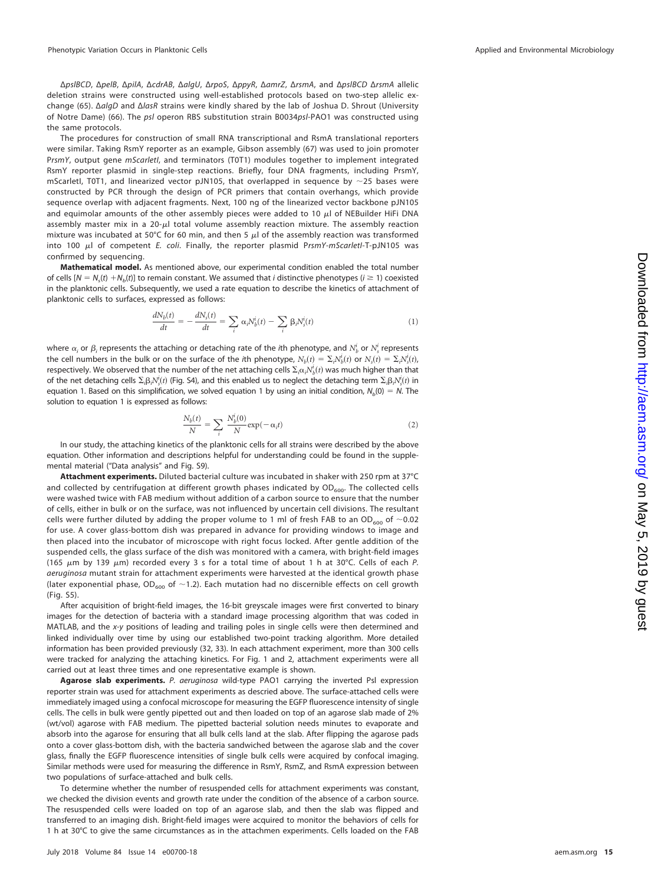ΔpslBCD, ΔpelB, ΔpilA, ΔcdrAB, ΔalgU, ΔrpoS, ΔppyR, ΔamrZ, ΔrsmA, and ΔpslBCD ΔrsmA allelic deletion strains were constructed using well-established protocols based on two-step allelic exchange [\(65\)](#page-17-14). ΔalgD and ΔlasR strains were kindly shared by the lab of Joshua D. Shrout (University of Notre Dame) [\(66\)](#page-17-15). The psl operon RBS substitution strain B0034psl-PAO1 was constructed using the same protocols.

The procedures for construction of small RNA transcriptional and RsmA translational reporters were similar. Taking RsmY reporter as an example, Gibson assembly [\(67\)](#page-17-16) was used to join promoter PrsmY, output gene mScarletl, and terminators (T0T1) modules together to implement integrated RsmY reporter plasmid in single-step reactions. Briefly, four DNA fragments, including PrsmY, mScarletl, T0T1, and linearized vector pJN105, that overlapped in sequence by  $\sim$ 25 bases were constructed by PCR through the design of PCR primers that contain overhangs, which provide sequence overlap with adjacent fragments. Next, 100 ng of the linearized vector backbone pJN105 and equimolar amounts of the other assembly pieces were added to 10  $\mu$ l of NEBuilder HiFi DNA assembly master mix in a  $20-\mu l$  total volume assembly reaction mixture. The assembly reaction mixture was incubated at 50°C for 60 min, and then 5  $\mu$  of the assembly reaction was transformed into 100  $\mu$ l of competent *E. coli.* Finally, the reporter plasmid PrsmY-mScarletI-T-pJN105 was confirmed by sequencing.

**Mathematical model.** As mentioned above, our experimental condition enabled the total number of cells  $[N = N_s(t) + N_b(t)]$  to remain constant. We assumed that *i* distinctive phenotypes ( $i \ge 1$ ) coexisted in the planktonic cells. Subsequently, we used a rate equation to describe the kinetics of attachment of planktonic cells to surfaces, expressed as follows:

$$
\frac{dN_b(t)}{dt} = -\frac{dN_s(t)}{dt} = \sum_i \alpha_i N_b^i(t) - \sum_i \beta_i N_s^i(t)
$$
\n(1)

where  $\alpha_i$  or  $\beta_i$  represents the attaching or detaching rate of the *i*th phenotype, and  $N_b^i$  or  $N_s^i$  represents the cell numbers in the bulk or on the surface of the *i*th phenotype,  $N_b(t)=\Sigma_i N_b^i(t)$  or  $N_s(t)=\Sigma_i N_s^i(t)$ , respectively. We observed that the number of the net attaching cells  $\Sigma_i\alpha_iN_b^i(t)$  was much higher than that of the net detaching cells  $\Sigma_i\beta_iN^i_s(t)$  (Fig. S4), and this enabled us to neglect the detaching term  $\Sigma_i\beta_iN^i_s(t)$  in equation 1. Based on this simplification, we solved equation 1 by using an initial condition,  $N_b(0) = N$ . The solution to equation 1 is expressed as follows:

$$
\frac{N_b(t)}{N} = \sum_i \frac{N_b^i(0)}{N} \exp(-\alpha_i t) \tag{2}
$$

In our study, the attaching kinetics of the planktonic cells for all strains were described by the above equation. Other information and descriptions helpful for understanding could be found in the supplemental material ("Data analysis" and Fig. S9).

**Attachment experiments.** Diluted bacterial culture was incubated in shaker with 250 rpm at 37°C and collected by centrifugation at different growth phases indicated by  $OD_{600}$ . The collected cells were washed twice with FAB medium without addition of a carbon source to ensure that the number of cells, either in bulk or on the surface, was not influenced by uncertain cell divisions. The resultant cells were further diluted by adding the proper volume to 1 ml of fresh FAB to an OD<sub>600</sub> of  $\sim$ 0.02 for use. A cover glass-bottom dish was prepared in advance for providing windows to image and then placed into the incubator of microscope with right focus locked. After gentle addition of the suspended cells, the glass surface of the dish was monitored with a camera, with bright-field images (165  $\mu$ m by 139  $\mu$ m) recorded every 3 s for a total time of about 1 h at 30°C. Cells of each P. aeruginosa mutant strain for attachment experiments were harvested at the identical growth phase (later exponential phase, OD<sub>600</sub> of ~1.2). Each mutation had no discernible effects on cell growth (Fig. S5).

After acquisition of bright-field images, the 16-bit greyscale images were first converted to binary images for the detection of bacteria with a standard image processing algorithm that was coded in MATLAB, and the x-y positions of leading and trailing poles in single cells were then determined and linked individually over time by using our established two-point tracking algorithm. More detailed information has been provided previously [\(32,](#page-16-18) [33\)](#page-16-19). In each attachment experiment, more than 300 cells were tracked for analyzing the attaching kinetics. For [Fig. 1](#page-3-0) and [2,](#page-5-0) attachment experiments were all carried out at least three times and one representative example is shown.

Agarose slab experiments. P. aeruginosa wild-type PAO1 carrying the inverted Psl expression reporter strain was used for attachment experiments as descried above. The surface-attached cells were immediately imaged using a confocal microscope for measuring the EGFP fluorescence intensity of single cells. The cells in bulk were gently pipetted out and then loaded on top of an agarose slab made of 2% (wt/vol) agarose with FAB medium. The pipetted bacterial solution needs minutes to evaporate and absorb into the agarose for ensuring that all bulk cells land at the slab. After flipping the agarose pads onto a cover glass-bottom dish, with the bacteria sandwiched between the agarose slab and the cover glass, finally the EGFP fluorescence intensities of single bulk cells were acquired by confocal imaging. Similar methods were used for measuring the difference in RsmY, RsmZ, and RsmA expression between two populations of surface-attached and bulk cells.

To determine whether the number of resuspended cells for attachment experiments was constant, we checked the division events and growth rate under the condition of the absence of a carbon source. The resuspended cells were loaded on top of an agarose slab, and then the slab was flipped and transferred to an imaging dish. Bright-field images were acquired to monitor the behaviors of cells for 1 h at 30°C to give the same circumstances as in the attachmen experiments. Cells loaded on the FAB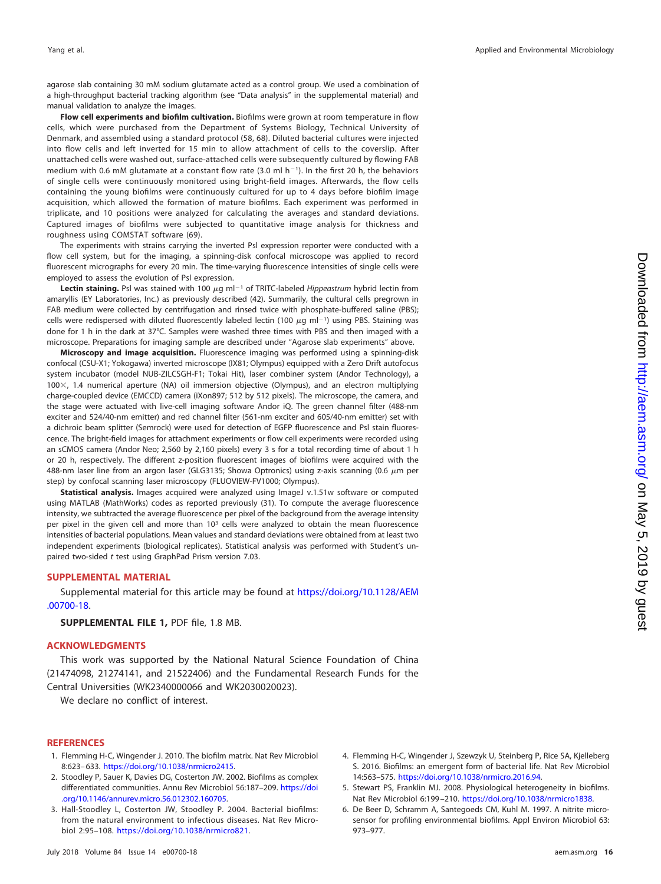agarose slab containing 30 mM sodium glutamate acted as a control group. We used a combination of a high-throughput bacterial tracking algorithm (see "Data analysis" in the supplemental material) and manual validation to analyze the images.

**Flow cell experiments and biofilm cultivation.** Biofilms were grown at room temperature in flow cells, which were purchased from the Department of Systems Biology, Technical University of Denmark, and assembled using a standard protocol [\(58,](#page-17-7) [68\)](#page-17-17). Diluted bacterial cultures were injected into flow cells and left inverted for 15 min to allow attachment of cells to the coverslip. After unattached cells were washed out, surface-attached cells were subsequently cultured by flowing FAB medium with 0.6 mM glutamate at a constant flow rate (3.0 ml  $h^{-1}$ ). In the first 20 h, the behaviors of single cells were continuously monitored using bright-field images. Afterwards, the flow cells containing the young biofilms were continuously cultured for up to 4 days before biofilm image acquisition, which allowed the formation of mature biofilms. Each experiment was performed in triplicate, and 10 positions were analyzed for calculating the averages and standard deviations. Captured images of biofilms were subjected to quantitative image analysis for thickness and roughness using COMSTAT software [\(69\)](#page-17-18).

The experiments with strains carrying the inverted Psl expression reporter were conducted with a flow cell system, but for the imaging, a spinning-disk confocal microscope was applied to record fluorescent micrographs for every 20 min. The time-varying fluorescence intensities of single cells were employed to assess the evolution of Psl expression.

Lectin staining. Psl was stained with 100  $\mu$ g ml<sup>-1</sup> of TRITC-labeled Hippeastrum hybrid lectin from amaryllis (EY Laboratories, Inc.) as previously described [\(42\)](#page-16-28). Summarily, the cultural cells pregrown in FAB medium were collected by centrifugation and rinsed twice with phosphate-buffered saline (PBS); cells were redispersed with diluted fluorescently labeled lectin (100  $\mu$ g ml<sup>-1</sup>) using PBS. Staining was done for 1 h in the dark at 37°C. Samples were washed three times with PBS and then imaged with a microscope. Preparations for imaging sample are described under "Agarose slab experiments" above.

**Microscopy and image acquisition.** Fluorescence imaging was performed using a spinning-disk confocal (CSU-X1; Yokogawa) inverted microscope (IX81; Olympus) equipped with a Zero Drift autofocus system incubator (model NUB-ZILCSGH-F1; Tokai Hit), laser combiner system (Andor Technology), a 100X, 1.4 numerical aperture (NA) oil immersion objective (Olympus), and an electron multiplying charge-coupled device (EMCCD) camera (iXon897; 512 by 512 pixels). The microscope, the camera, and the stage were actuated with live-cell imaging software Andor iQ. The green channel filter (488-nm exciter and 524/40-nm emitter) and red channel filter (561-nm exciter and 605/40-nm emitter) set with a dichroic beam splitter (Semrock) were used for detection of EGFP fluorescence and Psl stain fluorescence. The bright-field images for attachment experiments or flow cell experiments were recorded using an sCMOS camera (Andor Neo; 2,560 by 2,160 pixels) every 3 s for a total recording time of about 1 h or 20 h, respectively. The different z-position fluorescent images of biofilms were acquired with the 488-nm laser line from an argon laser (GLG3135; Showa Optronics) using z-axis scanning (0.6  $\mu$ m per step) by confocal scanning laser microscopy (FLUOVIEW-FV1000; Olympus).

**Statistical analysis.** Images acquired were analyzed using ImageJ v.1.51w software or computed using MATLAB (MathWorks) codes as reported previously [\(31\)](#page-16-17). To compute the average fluorescence intensity, we subtracted the average fluorescence per pixel of the background from the average intensity per pixel in the given cell and more than 103 cells were analyzed to obtain the mean fluorescence intensities of bacterial populations. Mean values and standard deviations were obtained from at least two independent experiments (biological replicates). Statistical analysis was performed with Student's unpaired two-sided t test using GraphPad Prism version 7.03.

#### **SUPPLEMENTAL MATERIAL**

Supplemental material for this article may be found at [https://doi.org/10.1128/AEM](https://doi.org/10.1128/AEM.00700-18) [.00700-18.](https://doi.org/10.1128/AEM.00700-18)

**SUPPLEMENTAL FILE 1,** PDF file, 1.8 MB.

#### **ACKNOWLEDGMENTS**

This work was supported by the National Natural Science Foundation of China (21474098, 21274141, and 21522406) and the Fundamental Research Funds for the Central Universities (WK2340000066 and WK2030020023).

We declare no conflict of interest.

#### <span id="page-15-0"></span>**REFERENCES**

- <span id="page-15-1"></span>1. Flemming H-C, Wingender J. 2010. The biofilm matrix. Nat Rev Microbiol 8:623– 633. [https://doi.org/10.1038/nrmicro2415.](https://doi.org/10.1038/nrmicro2415)
- <span id="page-15-2"></span>2. Stoodley P, Sauer K, Davies DG, Costerton JW. 2002. Biofilms as complex differentiated communities. Annu Rev Microbiol 56:187–209. [https://doi](https://doi.org/10.1146/annurev.micro.56.012302.160705) [.org/10.1146/annurev.micro.56.012302.160705.](https://doi.org/10.1146/annurev.micro.56.012302.160705)
- 3. Hall-Stoodley L, Costerton JW, Stoodley P. 2004. Bacterial biofilms: from the natural environment to infectious diseases. Nat Rev Microbiol 2:95–108. [https://doi.org/10.1038/nrmicro821.](https://doi.org/10.1038/nrmicro821)
- <span id="page-15-4"></span><span id="page-15-3"></span>4. Flemming H-C, Wingender J, Szewzyk U, Steinberg P, Rice SA, Kjelleberg S. 2016. Biofilms: an emergent form of bacterial life. Nat Rev Microbiol 14:563–575. [https://doi.org/10.1038/nrmicro.2016.94.](https://doi.org/10.1038/nrmicro.2016.94)
- <span id="page-15-5"></span>5. Stewart PS, Franklin MJ. 2008. Physiological heterogeneity in biofilms. Nat Rev Microbiol 6:199 –210. [https://doi.org/10.1038/nrmicro1838.](https://doi.org/10.1038/nrmicro1838)
- 6. De Beer D, Schramm A, Santegoeds CM, Kuhl M. 1997. A nitrite microsensor for profiling environmental biofilms. Appl Environ Microbiol 63: 973–977.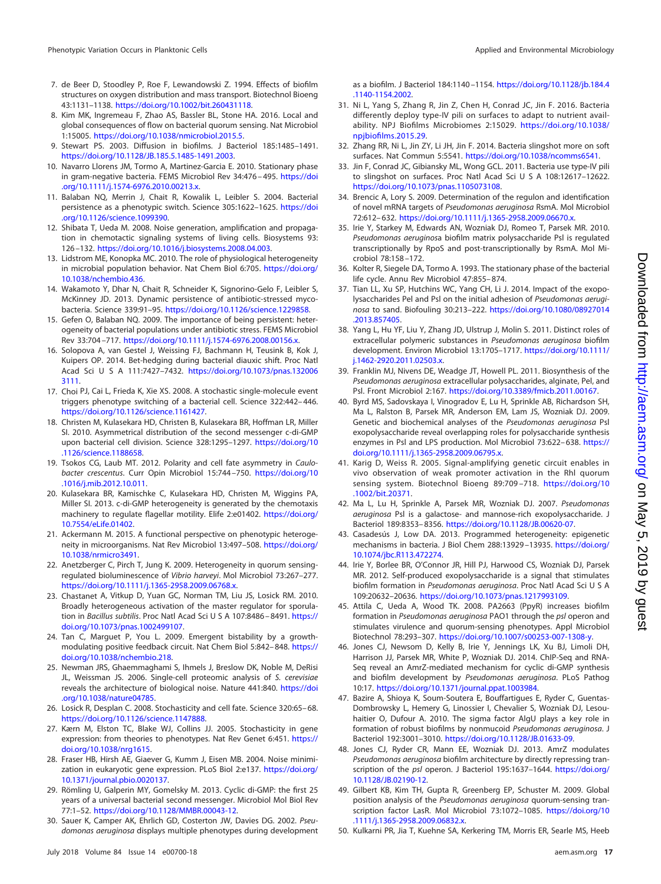- <span id="page-16-0"></span>7. de Beer D, Stoodley P, Roe F, Lewandowski Z. 1994. Effects of biofilm structures on oxygen distribution and mass transport. Biotechnol Bioeng 43:1131–1138. [https://doi.org/10.1002/bit.260431118.](https://doi.org/10.1002/bit.260431118)
- <span id="page-16-1"></span>8. Kim MK, Ingremeau F, Zhao AS, Bassler BL, Stone HA. 2016. Local and global consequences of flow on bacterial quorum sensing. Nat Microbiol 1:15005. [https://doi.org/10.1038/nmicrobiol.2015.5.](https://doi.org/10.1038/nmicrobiol.2015.5)
- <span id="page-16-2"></span>9. Stewart PS. 2003. Diffusion in biofilms. J Bacteriol 185:1485–1491. [https://doi.org/10.1128/JB.185.5.1485-1491.2003.](https://doi.org/10.1128/JB.185.5.1485-1491.2003)
- <span id="page-16-3"></span>10. Navarro Llorens JM, Tormo A, Martinez-Garcia E. 2010. Stationary phase in gram-negative bacteria. FEMS Microbiol Rev 34:476-495. [https://doi](https://doi.org/10.1111/j.1574-6976.2010.00213.x) [.org/10.1111/j.1574-6976.2010.00213.x.](https://doi.org/10.1111/j.1574-6976.2010.00213.x)
- <span id="page-16-4"></span>11. Balaban NQ, Merrin J, Chait R, Kowalik L, Leibler S. 2004. Bacterial persistence as a phenotypic switch. Science 305:1622–1625. [https://doi](https://doi.org/10.1126/science.1099390) [.org/10.1126/science.1099390.](https://doi.org/10.1126/science.1099390)
- 12. Shibata T, Ueda M. 2008. Noise generation, amplification and propagation in chemotactic signaling systems of living cells. Biosystems 93: 126 –132. [https://doi.org/10.1016/j.biosystems.2008.04.003.](https://doi.org/10.1016/j.biosystems.2008.04.003)
- 13. Lidstrom ME, Konopka MC. 2010. The role of physiological heterogeneity in microbial population behavior. Nat Chem Biol 6:705. [https://doi.org/](https://doi.org/10.1038/nchembio.436) [10.1038/nchembio.436.](https://doi.org/10.1038/nchembio.436)
- 14. Wakamoto Y, Dhar N, Chait R, Schneider K, Signorino-Gelo F, Leibler S, McKinney JD. 2013. Dynamic persistence of antibiotic-stressed mycobacteria. Science 339:91–95. [https://doi.org/10.1126/science.1229858.](https://doi.org/10.1126/science.1229858)
- <span id="page-16-5"></span>15. Gefen O, Balaban NQ. 2009. The importance of being persistent: heterogeneity of bacterial populations under antibiotic stress. FEMS Microbiol Rev 33:704 –717. [https://doi.org/10.1111/j.1574-6976.2008.00156.x.](https://doi.org/10.1111/j.1574-6976.2008.00156.x)
- <span id="page-16-6"></span>16. Solopova A, van Gestel J, Weissing FJ, Bachmann H, Teusink B, Kok J, Kuipers OP. 2014. Bet-hedging during bacterial diauxic shift. Proc Natl Acad Sci U S A 111:7427-7432. [https://doi.org/10.1073/pnas.132006](https://doi.org/10.1073/pnas.1320063111) [3111.](https://doi.org/10.1073/pnas.1320063111)
- <span id="page-16-7"></span>17. Choi PJ, Cai L, Frieda K, Xie XS. 2008. A stochastic single-molecule event triggers phenotype switching of a bacterial cell. Science 322:442– 446. [https://doi.org/10.1126/science.1161427.](https://doi.org/10.1126/science.1161427)
- <span id="page-16-13"></span>18. Christen M, Kulasekara HD, Christen B, Kulasekara BR, Hoffman LR, Miller SI. 2010. Asymmetrical distribution of the second messenger c-di-GMP upon bacterial cell division. Science 328:1295–1297. [https://doi.org/10](https://doi.org/10.1126/science.1188658) [.1126/science.1188658.](https://doi.org/10.1126/science.1188658)
- 19. Tsokos CG, Laub MT. 2012. Polarity and cell fate asymmetry in Caulobacter crescentus. Curr Opin Microbiol 15:744-750. [https://doi.org/10](https://doi.org/10.1016/j.mib.2012.10.011) [.1016/j.mib.2012.10.011.](https://doi.org/10.1016/j.mib.2012.10.011)
- <span id="page-16-15"></span>20. Kulasekara BR, Kamischke C, Kulasekara HD, Christen M, Wiggins PA, Miller SI. 2013. c-di-GMP heterogeneity is generated by the chemotaxis machinery to regulate flagellar motility. Elife 2:e01402. [https://doi.org/](https://doi.org/10.7554/eLife.01402) [10.7554/eLife.01402.](https://doi.org/10.7554/eLife.01402)
- 21. Ackermann M. 2015. A functional perspective on phenotypic heterogeneity in microorganisms. Nat Rev Microbiol 13:497–508. [https://doi.org/](https://doi.org/10.1038/nrmicro3491) [10.1038/nrmicro3491.](https://doi.org/10.1038/nrmicro3491)
- 22. Anetzberger C, Pirch T, Jung K. 2009. Heterogeneity in quorum sensingregulated bioluminescence of Vibrio harveyi. Mol Microbiol 73:267–277. [https://doi.org/10.1111/j.1365-2958.2009.06768.x.](https://doi.org/10.1111/j.1365-2958.2009.06768.x)
- 23. Chastanet A, Vitkup D, Yuan GC, Norman TM, Liu JS, Losick RM. 2010. Broadly heterogeneous activation of the master regulator for sporulation in Bacillus subtilis. Proc Natl Acad Sci U S A 107:8486-8491. [https://](https://doi.org/10.1073/pnas.1002499107) [doi.org/10.1073/pnas.1002499107.](https://doi.org/10.1073/pnas.1002499107)
- <span id="page-16-9"></span><span id="page-16-8"></span>24. Tan C, Marguet P, You L. 2009. Emergent bistability by a growthmodulating positive feedback circuit. Nat Chem Biol 5:842-848. [https://](https://doi.org/10.1038/nchembio.218) [doi.org/10.1038/nchembio.218.](https://doi.org/10.1038/nchembio.218)
- 25. Newman JRS, Ghaemmaghami S, Ihmels J, Breslow DK, Noble M, DeRisi JL, Weissman JS. 2006. Single-cell proteomic analysis of S. cerevisiae reveals the architecture of biological noise. Nature 441:840. [https://doi](https://doi.org/10.1038/nature04785) [.org/10.1038/nature04785.](https://doi.org/10.1038/nature04785)
- <span id="page-16-11"></span><span id="page-16-10"></span>26. Losick R, Desplan C. 2008. Stochasticity and cell fate. Science 320:65– 68. [https://doi.org/10.1126/science.1147888.](https://doi.org/10.1126/science.1147888)
- <span id="page-16-12"></span>27. Kærn M, Elston TC, Blake WJ, Collins JJ. 2005. Stochasticity in gene expression: from theories to phenotypes. Nat Rev Genet 6:451. [https://](https://doi.org/10.1038/nrg1615) [doi.org/10.1038/nrg1615.](https://doi.org/10.1038/nrg1615)
- <span id="page-16-14"></span>28. Fraser HB, Hirsh AE, Giaever G, Kumm J, Eisen MB. 2004. Noise minimization in eukaryotic gene expression. PLoS Biol 2:e137. [https://doi.org/](https://doi.org/10.1371/journal.pbio.0020137) [10.1371/journal.pbio.0020137.](https://doi.org/10.1371/journal.pbio.0020137)
- <span id="page-16-16"></span>29. Römling U, Galperin MY, Gomelsky M. 2013. Cyclic di-GMP: the first 25 years of a universal bacterial second messenger. Microbiol Mol Biol Rev 77:1–52. [https://doi.org/10.1128/MMBR.00043-12.](https://doi.org/10.1128/MMBR.00043-12)
- 30. Sauer K, Camper AK, Ehrlich GD, Costerton JW, Davies DG. 2002. Pseudomonas aeruginosa displays multiple phenotypes during development

as a biofilm. J Bacteriol 184:1140 –1154. [https://doi.org/10.1128/jb.184.4](https://doi.org/10.1128/jb.184.4.1140-1154.2002) [.1140-1154.2002.](https://doi.org/10.1128/jb.184.4.1140-1154.2002)

- <span id="page-16-17"></span>31. Ni L, Yang S, Zhang R, Jin Z, Chen H, Conrad JC, Jin F. 2016. Bacteria differently deploy type-IV pili on surfaces to adapt to nutrient availability. NPJ Biofilms Microbiomes 2:15029. [https://doi.org/10.1038/](https://doi.org/10.1038/npjbiofilms.2015.29) [npjbiofilms.2015.29.](https://doi.org/10.1038/npjbiofilms.2015.29)
- <span id="page-16-19"></span><span id="page-16-18"></span>32. Zhang RR, Ni L, Jin ZY, Li JH, Jin F. 2014. Bacteria slingshot more on soft surfaces. Nat Commun 5:5541. [https://doi.org/10.1038/ncomms6541.](https://doi.org/10.1038/ncomms6541)
- 33. Jin F, Conrad JC, Gibiansky ML, Wong GCL. 2011. Bacteria use type-IV pili to slingshot on surfaces. Proc Natl Acad Sci U S A 108:12617-12622. [https://doi.org/10.1073/pnas.1105073108.](https://doi.org/10.1073/pnas.1105073108)
- <span id="page-16-20"></span>34. Brencic A, Lory S. 2009. Determination of the regulon and identification of novel mRNA targets of Pseudomonas aeruginosa RsmA. Mol Microbiol 72:612– 632. [https://doi.org/10.1111/j.1365-2958.2009.06670.x.](https://doi.org/10.1111/j.1365-2958.2009.06670.x)
- <span id="page-16-21"></span>35. Irie Y, Starkey M, Edwards AN, Wozniak DJ, Romeo T, Parsek MR. 2010. Pseudomonas aeruginosa biofilm matrix polysaccharide Psl is regulated transcriptionally by RpoS and post-transcriptionally by RsmA. Mol Microbiol 78:158 –172.
- <span id="page-16-23"></span><span id="page-16-22"></span>36. Kolter R, Siegele DA, Tormo A. 1993. The stationary phase of the bacterial life cycle. Annu Rev Microbiol 47:855– 874.
- 37. Tian LL, Xu SP, Hutchins WC, Yang CH, Li J. 2014. Impact of the exopolysaccharides Pel and Psl on the initial adhesion of Pseudomonas aeruginosa to sand. Biofouling 30:213–222. [https://doi.org/10.1080/08927014](https://doi.org/10.1080/08927014.2013.857405) [.2013.857405.](https://doi.org/10.1080/08927014.2013.857405)
- <span id="page-16-24"></span>38. Yang L, Hu YF, Liu Y, Zhang JD, Ulstrup J, Molin S. 2011. Distinct roles of extracellular polymeric substances in Pseudomonas aeruginosa biofilm development. Environ Microbiol 13:1705–1717. [https://doi.org/10.1111/](https://doi.org/10.1111/j.1462-2920.2011.02503.x) [j.1462-2920.2011.02503.x.](https://doi.org/10.1111/j.1462-2920.2011.02503.x)
- <span id="page-16-25"></span>39. Franklin MJ, Nivens DE, Weadge JT, Howell PL. 2011. Biosynthesis of the Pseudomonas aeruginosa extracellular polysaccharides, alginate, Pel, and Psl. Front Microbiol 2:167. [https://doi.org/10.3389/fmicb.2011.00167.](https://doi.org/10.3389/fmicb.2011.00167)
- <span id="page-16-26"></span>40. Byrd MS, Sadovskaya I, Vinogradov E, Lu H, Sprinkle AB, Richardson SH, Ma L, Ralston B, Parsek MR, Anderson EM, Lam JS, Wozniak DJ. 2009. Genetic and biochemical analyses of the Pseudomonas aeruginosa Psl exopolysaccharide reveal overlapping roles for polysaccharide synthesis enzymes in Psl and LPS production. Mol Microbiol 73:622– 638. [https://](https://doi.org/10.1111/j.1365-2958.2009.06795.x) [doi.org/10.1111/j.1365-2958.2009.06795.x.](https://doi.org/10.1111/j.1365-2958.2009.06795.x)
- <span id="page-16-27"></span>41. Karig D, Weiss R. 2005. Signal-amplifying genetic circuit enables in vivo observation of weak promoter activation in the Rhl quorum sensing system. Biotechnol Bioeng 89:709 –718. [https://doi.org/10](https://doi.org/10.1002/bit.20371) [.1002/bit.20371.](https://doi.org/10.1002/bit.20371)
- <span id="page-16-28"></span>42. Ma L, Lu H, Sprinkle A, Parsek MR, Wozniak DJ. 2007. Pseudomonas aeruginosa Psl is a galactose- and mannose-rich exopolysaccharide. J Bacteriol 189:8353– 8356. [https://doi.org/10.1128/JB.00620-07.](https://doi.org/10.1128/JB.00620-07)
- <span id="page-16-29"></span>43. Casadesús J, Low DA. 2013. Programmed heterogeneity: epigenetic mechanisms in bacteria. J Biol Chem 288:13929 –13935. [https://doi.org/](https://doi.org/10.1074/jbc.R113.472274) [10.1074/jbc.R113.472274.](https://doi.org/10.1074/jbc.R113.472274)
- <span id="page-16-30"></span>44. Irie Y, Borlee BR, O'Connor JR, Hill PJ, Harwood CS, Wozniak DJ, Parsek MR. 2012. Self-produced exopolysaccharide is a signal that stimulates biofilm formation in Pseudomonas aeruginosa. Proc Natl Acad Sci U S A 109:20632–20636. [https://doi.org/10.1073/pnas.1217993109.](https://doi.org/10.1073/pnas.1217993109)
- <span id="page-16-31"></span>45. Attila C, Ueda A, Wood TK. 2008. PA2663 (PpyR) increases biofilm formation in Pseudomonas aeruginosa PAO1 through the psl operon and stimulates virulence and quorum-sensing phenotypes. Appl Microbiol Biotechnol 78:293–307. [https://doi.org/10.1007/s00253-007-1308-y.](https://doi.org/10.1007/s00253-007-1308-y)
- 46. Jones CJ, Newsom D, Kelly B, Irie Y, Jennings LK, Xu BJ, Limoli DH, Harrison JJ, Parsek MR, White P, Wozniak DJ. 2014. ChIP-Seq and RNA-Seq reveal an AmrZ-mediated mechanism for cyclic di-GMP synthesis and biofilm development by Pseudomonas aeruginosa. PLoS Pathog 10:17. [https://doi.org/10.1371/journal.ppat.1003984.](https://doi.org/10.1371/journal.ppat.1003984)
- 47. Bazire A, Shioya K, Soum-Soutera E, Bouffartigues E, Ryder C, Guentas-Dombrowsky L, Hemery G, Linossier I, Chevalier S, Wozniak DJ, Lesouhaitier O, Dufour A. 2010. The sigma factor AlgU plays a key role in formation of robust biofilms by nonmucoid Pseudomonas aeruginosa. J Bacteriol 192:3001–3010. [https://doi.org/10.1128/JB.01633-09.](https://doi.org/10.1128/JB.01633-09)
- <span id="page-16-32"></span>48. Jones CJ, Ryder CR, Mann EE, Wozniak DJ. 2013. AmrZ modulates Pseudomonas aeruginosa biofilm architecture by directly repressing transcription of the psl operon. J Bacteriol 195:1637–1644. [https://doi.org/](https://doi.org/10.1128/JB.02190-12) [10.1128/JB.02190-12.](https://doi.org/10.1128/JB.02190-12)
- <span id="page-16-33"></span>49. Gilbert KB, Kim TH, Gupta R, Greenberg EP, Schuster M. 2009. Global position analysis of the Pseudomonas aeruginosa quorum-sensing transcription factor LasR. Mol Microbiol 73:1072–1085. [https://doi.org/10](https://doi.org/10.1111/j.1365-2958.2009.06832.x) [.1111/j.1365-2958.2009.06832.x.](https://doi.org/10.1111/j.1365-2958.2009.06832.x)
- <span id="page-16-34"></span>50. Kulkarni PR, Jia T, Kuehne SA, Kerkering TM, Morris ER, Searle MS, Heeb